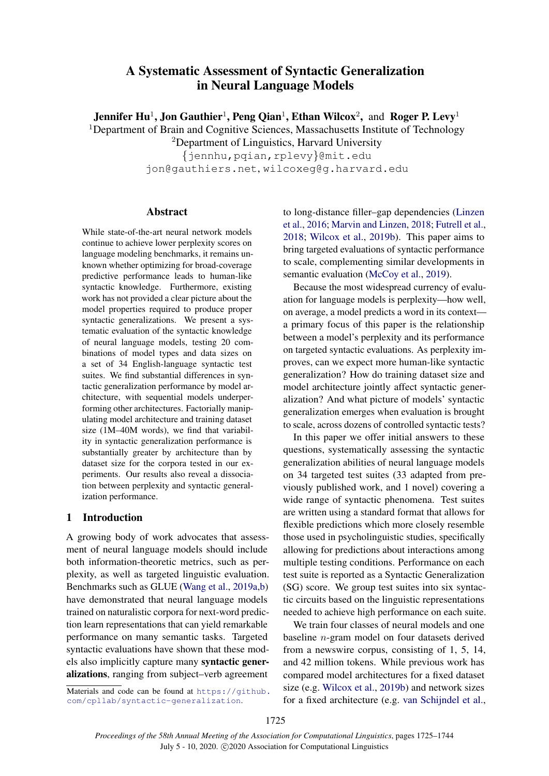# <span id="page-0-0"></span>A Systematic Assessment of Syntactic Generalization in Neural Language Models

Jennifer Hu<sup>1</sup>, Jon Gauthier<sup>1</sup>, Peng Qian<sup>1</sup>, Ethan Wilcox<sup>2</sup>, and Roger P. Levy<sup>1</sup>

<sup>1</sup>Department of Brain and Cognitive Sciences, Massachusetts Institute of Technology

<sup>2</sup>Department of Linguistics, Harvard University {jennhu,pqian,rplevy}@mit.edu jon@gauthiers.net, wilcoxeg@g.harvard.edu

# Abstract

While state-of-the-art neural network models continue to achieve lower perplexity scores on language modeling benchmarks, it remains unknown whether optimizing for broad-coverage predictive performance leads to human-like syntactic knowledge. Furthermore, existing work has not provided a clear picture about the model properties required to produce proper syntactic generalizations. We present a systematic evaluation of the syntactic knowledge of neural language models, testing 20 combinations of model types and data sizes on a set of 34 English-language syntactic test suites. We find substantial differences in syntactic generalization performance by model architecture, with sequential models underperforming other architectures. Factorially manipulating model architecture and training dataset size (1M–40M words), we find that variability in syntactic generalization performance is substantially greater by architecture than by dataset size for the corpora tested in our experiments. Our results also reveal a dissociation between perplexity and syntactic generalization performance.

# <span id="page-0-1"></span>1 Introduction

A growing body of work advocates that assessment of neural language models should include both information-theoretic metrics, such as perplexity, as well as targeted linguistic evaluation. Benchmarks such as GLUE [\(Wang et al.,](#page-11-0) [2019a](#page-11-0)[,b\)](#page-11-1) have demonstrated that neural language models trained on naturalistic corpora for next-word prediction learn representations that can yield remarkable performance on many semantic tasks. Targeted syntactic evaluations have shown that these models also implicitly capture many syntactic generalizations, ranging from subject–verb agreement

Materials and code can be found at [https://github.](https://github.com/cpllab/syntactic-generalization) [com/cpllab/syntactic-generalization](https://github.com/cpllab/syntactic-generalization).

to long-distance filler–gap dependencies [\(Linzen](#page-10-0) [et al.,](#page-10-0) [2016;](#page-10-0) [Marvin and Linzen,](#page-10-1) [2018;](#page-10-1) [Futrell et al.,](#page-9-0) [2018;](#page-9-0) [Wilcox et al.,](#page-11-2) [2019b\)](#page-11-2). This paper aims to bring targeted evaluations of syntactic performance to scale, complementing similar developments in semantic evaluation [\(McCoy et al.,](#page-10-2) [2019\)](#page-10-2).

Because the most widespread currency of evaluation for language models is perplexity—how well, on average, a model predicts a word in its context a primary focus of this paper is the relationship between a model's perplexity and its performance on targeted syntactic evaluations. As perplexity improves, can we expect more human-like syntactic generalization? How do training dataset size and model architecture jointly affect syntactic generalization? And what picture of models' syntactic generalization emerges when evaluation is brought to scale, across dozens of controlled syntactic tests?

In this paper we offer initial answers to these questions, systematically assessing the syntactic generalization abilities of neural language models on 34 targeted test suites (33 adapted from previously published work, and 1 novel) covering a wide range of syntactic phenomena. Test suites are written using a standard format that allows for flexible predictions which more closely resemble those used in psycholinguistic studies, specifically allowing for predictions about interactions among multiple testing conditions. Performance on each test suite is reported as a Syntactic Generalization (SG) score. We group test suites into six syntactic circuits based on the linguistic representations needed to achieve high performance on each suite.

We train four classes of neural models and one baseline n-gram model on four datasets derived from a newswire corpus, consisting of 1, 5, 14, and 42 million tokens. While previous work has compared model architectures for a fixed dataset size (e.g. [Wilcox et al.,](#page-11-2) [2019b\)](#page-11-2) and network sizes for a fixed architecture (e.g. [van Schijndel et al.,](#page-10-3)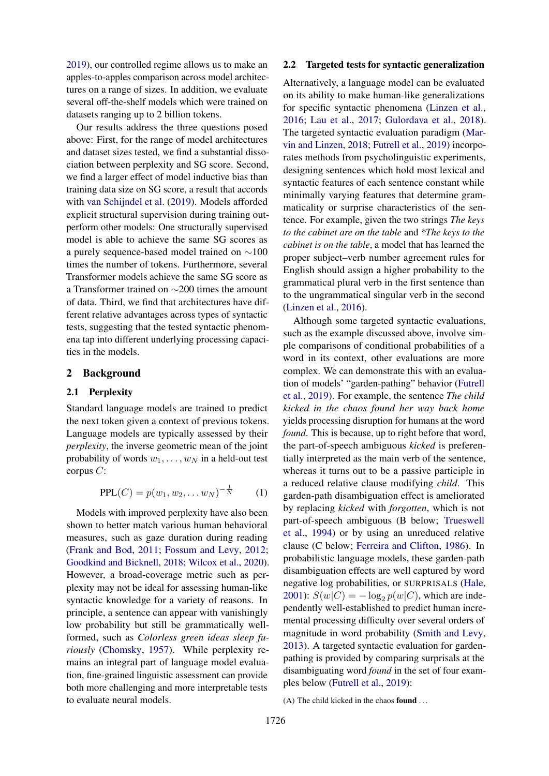[2019\)](#page-10-3), our controlled regime allows us to make an apples-to-apples comparison across model architectures on a range of sizes. In addition, we evaluate several off-the-shelf models which were trained on datasets ranging up to 2 billion tokens.

Our results address the three questions posed above: First, for the range of model architectures and dataset sizes tested, we find a substantial dissociation between perplexity and SG score. Second, we find a larger effect of model inductive bias than training data size on SG score, a result that accords with [van Schijndel et al.](#page-10-3) [\(2019\)](#page-10-3). Models afforded explicit structural supervision during training outperform other models: One structurally supervised model is able to achieve the same SG scores as a purely sequence-based model trained on ∼100 times the number of tokens. Furthermore, several Transformer models achieve the same SG score as a Transformer trained on ∼200 times the amount of data. Third, we find that architectures have different relative advantages across types of syntactic tests, suggesting that the tested syntactic phenomena tap into different underlying processing capacities in the models.

### 2 Background

#### 2.1 Perplexity

Standard language models are trained to predict the next token given a context of previous tokens. Language models are typically assessed by their *perplexity*, the inverse geometric mean of the joint probability of words  $w_1, \ldots, w_N$  in a held-out test corpus C:

$$
PPL(C) = p(w_1, w_2, \dots w_N)^{-\frac{1}{N}} \qquad (1)
$$

Models with improved perplexity have also been shown to better match various human behavioral measures, such as gaze duration during reading [\(Frank and Bod,](#page-9-1) [2011;](#page-9-1) [Fossum and Levy,](#page-9-2) [2012;](#page-9-2) [Goodkind and Bicknell,](#page-9-3) [2018;](#page-9-3) [Wilcox et al.,](#page-11-3) [2020\)](#page-11-3). However, a broad-coverage metric such as perplexity may not be ideal for assessing human-like syntactic knowledge for a variety of reasons. In principle, a sentence can appear with vanishingly low probability but still be grammatically wellformed, such as *Colorless green ideas sleep furiously* [\(Chomsky,](#page-9-4) [1957\)](#page-9-4). While perplexity remains an integral part of language model evaluation, fine-grained linguistic assessment can provide both more challenging and more interpretable tests to evaluate neural models.

#### <span id="page-1-0"></span>2.2 Targeted tests for syntactic generalization

Alternatively, a language model can be evaluated on its ability to make human-like generalizations for specific syntactic phenomena [\(Linzen et al.,](#page-10-0) [2016;](#page-10-0) [Lau et al.,](#page-10-4) [2017;](#page-10-4) [Gulordava et al.,](#page-9-5) [2018\)](#page-9-5). The targeted syntactic evaluation paradigm [\(Mar](#page-10-1)[vin and Linzen,](#page-10-1) [2018;](#page-10-1) [Futrell et al.,](#page-9-6) [2019\)](#page-9-6) incorporates methods from psycholinguistic experiments, designing sentences which hold most lexical and syntactic features of each sentence constant while minimally varying features that determine grammaticality or surprise characteristics of the sentence. For example, given the two strings *The keys to the cabinet are on the table* and *\*The keys to the cabinet is on the table*, a model that has learned the proper subject–verb number agreement rules for English should assign a higher probability to the grammatical plural verb in the first sentence than to the ungrammatical singular verb in the second [\(Linzen et al.,](#page-10-0) [2016\)](#page-10-0).

Although some targeted syntactic evaluations, such as the example discussed above, involve simple comparisons of conditional probabilities of a word in its context, other evaluations are more complex. We can demonstrate this with an evaluation of models' "garden-pathing" behavior [\(Futrell](#page-9-6) [et al.,](#page-9-6) [2019\)](#page-9-6). For example, the sentence *The child kicked in the chaos found her way back home* yields processing disruption for humans at the word *found*. This is because, up to right before that word, the part-of-speech ambiguous *kicked* is preferentially interpreted as the main verb of the sentence, whereas it turns out to be a passive participle in a reduced relative clause modifying *child*. This garden-path disambiguation effect is ameliorated by replacing *kicked* with *forgotten*, which is not part-of-speech ambiguous (B below; [Trueswell](#page-11-4) [et al.,](#page-11-4) [1994\)](#page-11-4) or by using an unreduced relative clause (C below; [Ferreira and Clifton,](#page-9-7) [1986\)](#page-9-7). In probabilistic language models, these garden-path disambiguation effects are well captured by word negative log probabilities, or SURPRISALS [\(Hale,](#page-9-8) [2001\)](#page-9-8):  $S(w|C) = -\log_2 p(w|C)$ , which are independently well-established to predict human incremental processing difficulty over several orders of magnitude in word probability [\(Smith and Levy,](#page-11-5) [2013\)](#page-11-5). A targeted syntactic evaluation for gardenpathing is provided by comparing surprisals at the disambiguating word *found* in the set of four examples below [\(Futrell et al.,](#page-9-6) [2019\)](#page-9-6):

<span id="page-1-2"></span><span id="page-1-1"></span>(A) The child kicked in the chaos found  $\dots$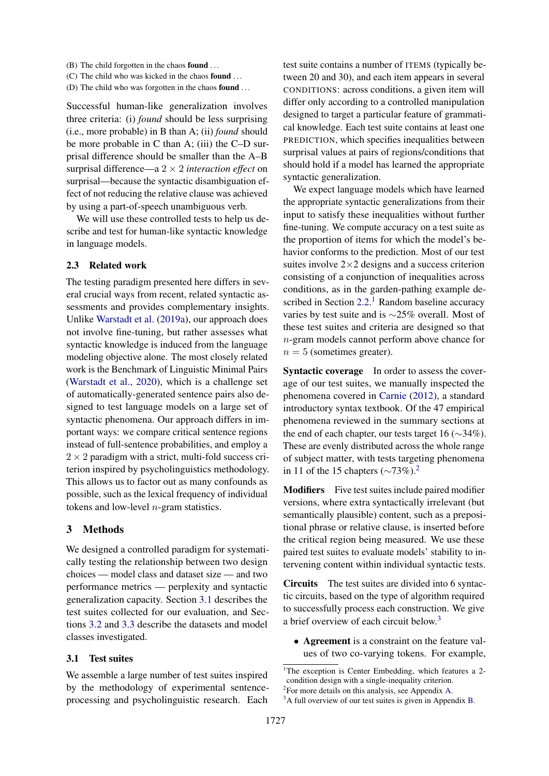- (B) The child forgotten in the chaos found . . .
- <span id="page-2-1"></span>(C) The child who was kicked in the chaos found . . .
- <span id="page-2-2"></span>(D) The child who was forgotten in the chaos found . . .

Successful human-like generalization involves three criteria: (i) *found* should be less surprising (i.e., more probable) in B than A; (ii) *found* should be more probable in C than A; (iii) the C–D surprisal difference should be smaller than the A–B surprisal difference—a 2 × 2 *interaction effect* on surprisal—because the syntactic disambiguation effect of not reducing the relative clause was achieved by using a part-of-speech unambiguous verb.

We will use these controlled tests to help us describe and test for human-like syntactic knowledge in language models.

#### 2.3 Related work

The testing paradigm presented here differs in several crucial ways from recent, related syntactic assessments and provides complementary insights. Unlike [Warstadt et al.](#page-11-6) [\(2019a\)](#page-11-6), our approach does not involve fine-tuning, but rather assesses what syntactic knowledge is induced from the language modeling objective alone. The most closely related work is the Benchmark of Linguistic Minimal Pairs [\(Warstadt et al.,](#page-11-7) [2020\)](#page-11-7), which is a challenge set of automatically-generated sentence pairs also designed to test language models on a large set of syntactic phenomena. Our approach differs in important ways: we compare critical sentence regions instead of full-sentence probabilities, and employ a  $2 \times 2$  paradigm with a strict, multi-fold success criterion inspired by psycholinguistics methodology. This allows us to factor out as many confounds as possible, such as the lexical frequency of individual tokens and low-level  $n$ -gram statistics.

### 3 Methods

We designed a controlled paradigm for systematically testing the relationship between two design choices — model class and dataset size — and two performance metrics — perplexity and syntactic generalization capacity. Section [3.1](#page-2-0) describes the test suites collected for our evaluation, and Sections [3.2](#page-3-0) and [3.3](#page-4-0) describe the datasets and model classes investigated.

### <span id="page-2-0"></span>3.1 Test suites

We assemble a large number of test suites inspired by the methodology of experimental sentenceprocessing and psycholinguistic research. Each

test suite contains a number of ITEMS (typically between 20 and 30), and each item appears in several CONDITIONS: across conditions, a given item will differ only according to a controlled manipulation designed to target a particular feature of grammatical knowledge. Each test suite contains at least one PREDICTION, which specifies inequalities between surprisal values at pairs of regions/conditions that should hold if a model has learned the appropriate syntactic generalization.

We expect language models which have learned the appropriate syntactic generalizations from their input to satisfy these inequalities without further fine-tuning. We compute accuracy on a test suite as the proportion of items for which the model's behavior conforms to the prediction. Most of our test suites involve  $2\times 2$  designs and a success criterion consisting of a conjunction of inequalities across conditions, as in the garden-pathing example de-scribed in Section [2.2.](#page-1-0)<sup>[1](#page-0-0)</sup> Random baseline accuracy varies by test suite and is ∼25% overall. Most of these test suites and criteria are designed so that n-gram models cannot perform above chance for  $n = 5$  (sometimes greater).

Syntactic coverage In order to assess the coverage of our test suites, we manually inspected the phenomena covered in [Carnie](#page-9-9) [\(2012\)](#page-9-9), a standard introductory syntax textbook. Of the 47 empirical phenomena reviewed in the summary sections at the end of each chapter, our tests target 16 (∼34%). These are evenly distributed across the whole range of subject matter, with tests targeting phenomena in 11 of the 15 chapters ( $\sim$ 73%).<sup>[2](#page-0-0)</sup>

Modifiers Five test suites include paired modifier versions, where extra syntactically irrelevant (but semantically plausible) content, such as a prepositional phrase or relative clause, is inserted before the critical region being measured. We use these paired test suites to evaluate models' stability to intervening content within individual syntactic tests.

Circuits The test suites are divided into 6 syntactic circuits, based on the type of algorithm required to successfully process each construction. We give a brief overview of each circuit below.[3](#page-0-0)

• Agreement is a constraint on the feature values of two co-varying tokens. For example,

<sup>&</sup>lt;sup>1</sup>The exception is Center Embedding, which features a  $2$ condition design with a single-inequality criterion.

<sup>2</sup> For more details on this analysis, see Appendix [A.](#page-11-8)

<sup>&</sup>lt;sup>3</sup>A full overview of our test suites is given in Appendix [B.](#page-13-0)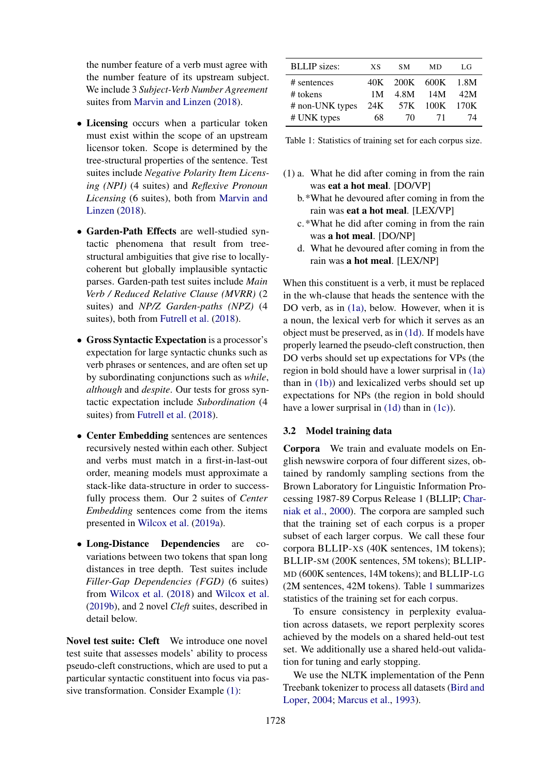the number feature of a verb must agree with the number feature of its upstream subject. We include 3 *Subject-Verb Number Agreement* suites from [Marvin and Linzen](#page-10-1) [\(2018\)](#page-10-1).

- Licensing occurs when a particular token must exist within the scope of an upstream licensor token. Scope is determined by the tree-structural properties of the sentence. Test suites include *Negative Polarity Item Licensing (NPI)* (4 suites) and *Reflexive Pronoun Licensing* (6 suites), both from [Marvin and](#page-10-1) [Linzen](#page-10-1) [\(2018\)](#page-10-1).
- Garden-Path Effects are well-studied syntactic phenomena that result from treestructural ambiguities that give rise to locallycoherent but globally implausible syntactic parses. Garden-path test suites include *Main Verb / Reduced Relative Clause (MVRR)* (2 suites) and *NP/Z Garden-paths (NPZ)* (4 suites), both from [Futrell et al.](#page-9-0) [\(2018\)](#page-9-0).
- Gross Syntactic Expectation is a processor's expectation for large syntactic chunks such as verb phrases or sentences, and are often set up by subordinating conjunctions such as *while*, *although* and *despite*. Our tests for gross syntactic expectation include *Subordination* (4 suites) from [Futrell et al.](#page-9-0) [\(2018\)](#page-9-0).
- Center Embedding sentences are sentences recursively nested within each other. Subject and verbs must match in a first-in-last-out order, meaning models must approximate a stack-like data-structure in order to successfully process them. Our 2 suites of *Center Embedding* sentences come from the items presented in [Wilcox et al.](#page-11-9) [\(2019a\)](#page-11-9).
- Long-Distance Dependencies are covariations between two tokens that span long distances in tree depth. Test suites include *Filler-Gap Dependencies (FGD)* (6 suites) from [Wilcox et al.](#page-11-10) [\(2018\)](#page-11-10) and [Wilcox et al.](#page-11-2) [\(2019b\)](#page-11-2), and 2 novel *Cleft* suites, described in detail below.

Novel test suite: Cleft We introduce one novel test suite that assesses models' ability to process pseudo-cleft constructions, which are used to put a particular syntactic constituent into focus via passive transformation. Consider Example [\(1\):](#page-1-1)

<span id="page-3-5"></span>

| <b>BLLIP</b> sizes: | <b>XS</b> | SM.                | <b>MD</b> | LG  |
|---------------------|-----------|--------------------|-----------|-----|
| # sentences         |           | 40K 200K 600K 1.8M |           |     |
| # tokens            | 1M        |                    | 4.8M 14M  | 42M |
| # non-UNK types     |           | 24K 57K 100K 170K  |           |     |
| # UNK types         | 68        | 70.                | 71        | 74  |
|                     |           |                    |           |     |

Table 1: Statistics of training set for each corpus size.

- <span id="page-3-4"></span><span id="page-3-3"></span><span id="page-3-1"></span>(1) a. What he did after coming in from the rain was eat a hot meal. [DO/VP]
	- b.\*What he devoured after coming in from the rain was eat a hot meal. [LEX/VP]
	- c.\*What he did after coming in from the rain was a hot meal. [DO/NP]
	- d. What he devoured after coming in from the rain was a hot meal. [LEX/NP]

<span id="page-3-2"></span>When this constituent is a verb, it must be replaced in the wh-clause that heads the sentence with the DO verb, as in [\(1a\),](#page-3-1) below. However, when it is a noun, the lexical verb for which it serves as an object must be preserved, as in [\(1d\).](#page-3-2) If models have properly learned the pseudo-cleft construction, then DO verbs should set up expectations for VPs (the region in bold should have a lower surprisal in [\(1a\)](#page-3-1) than in [\(1b\)\)](#page-3-3) and lexicalized verbs should set up expectations for NPs (the region in bold should have a lower surprisal in [\(1d\)](#page-3-2) than in [\(1c\)\)](#page-3-4).

#### <span id="page-3-0"></span>3.2 Model training data

Corpora We train and evaluate models on English newswire corpora of four different sizes, obtained by randomly sampling sections from the Brown Laboratory for Linguistic Information Processing 1987-89 Corpus Release 1 (BLLIP; [Char](#page-9-10)[niak et al.,](#page-9-10) [2000\)](#page-9-10). The corpora are sampled such that the training set of each corpus is a proper subset of each larger corpus. We call these four corpora BLLIP-XS (40K sentences, 1M tokens); BLLIP-SM (200K sentences, 5M tokens); BLLIP-MD (600K sentences, 14M tokens); and BLLIP-LG (2M sentences, 42M tokens). Table [1](#page-3-5) summarizes statistics of the training set for each corpus.

To ensure consistency in perplexity evaluation across datasets, we report perplexity scores achieved by the models on a shared held-out test set. We additionally use a shared held-out validation for tuning and early stopping.

We use the NLTK implementation of the Penn Treebank tokenizer to process all datasets [\(Bird and](#page-9-11) [Loper,](#page-9-11) [2004;](#page-9-11) [Marcus et al.,](#page-10-5) [1993\)](#page-10-5).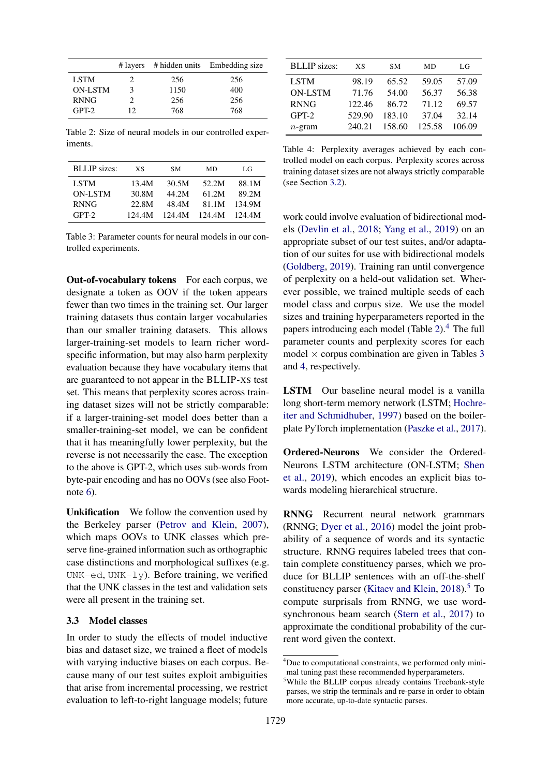<span id="page-4-1"></span>

|                |    |      | # layers # hidden units Embedding size |
|----------------|----|------|----------------------------------------|
| <b>LSTM</b>    | 2. | 256  | 256                                    |
| <b>ON-LSTM</b> | 3  | 1150 | 400                                    |
| <b>RNNG</b>    | 2. | 256  | 256                                    |
| $GPT-2$        | 12 | 768  | 768                                    |

Table 2: Size of neural models in our controlled experiments.

<span id="page-4-2"></span>

| XS     | SМ    | MD    | LG            |
|--------|-------|-------|---------------|
| 13.4M  | 30.5M | 52.2M | 88.1M         |
| 30.8M  | 44.2M | 61.2M | 89.2M         |
| 22.8M  | 48.4M | 81.1M | 134.9M        |
| 124.4M |       |       | 124.4M        |
|        |       |       | 124.4M 124.4M |

Table 3: Parameter counts for neural models in our controlled experiments.

Out-of-vocabulary tokens For each corpus, we designate a token as OOV if the token appears fewer than two times in the training set. Our larger training datasets thus contain larger vocabularies than our smaller training datasets. This allows larger-training-set models to learn richer wordspecific information, but may also harm perplexity evaluation because they have vocabulary items that are guaranteed to not appear in the BLLIP-XS test set. This means that perplexity scores across training dataset sizes will not be strictly comparable: if a larger-training-set model does better than a smaller-training-set model, we can be confident that it has meaningfully lower perplexity, but the reverse is not necessarily the case. The exception to the above is GPT-2, which uses sub-words from byte-pair encoding and has no OOVs (see also Footnote [6\)](#page-5-0).

Unkification We follow the convention used by the Berkeley parser [\(Petrov and Klein,](#page-10-6) [2007\)](#page-10-6), which maps OOVs to UNK classes which preserve fine-grained information such as orthographic case distinctions and morphological suffixes (e.g. UNK-ed, UNK-ly). Before training, we verified that the UNK classes in the test and validation sets were all present in the training set.

# <span id="page-4-0"></span>3.3 Model classes

In order to study the effects of model inductive bias and dataset size, we trained a fleet of models with varying inductive biases on each corpus. Because many of our test suites exploit ambiguities that arise from incremental processing, we restrict evaluation to left-to-right language models; future

<span id="page-4-3"></span>

| <b>BLLIP</b> sizes: | <b>XS</b> | SМ     | МD     | LG     |
|---------------------|-----------|--------|--------|--------|
| <b>LSTM</b>         | 98.19     | 65.52  | 59.05  | 57.09  |
| <b>ON-LSTM</b>      | 71.76     | 54.00  | 56.37  | 56.38  |
| <b>RNNG</b>         | 122.46    | 86.72  | 71.12  | 69.57  |
| $GPT-2$             | 529.90    | 183.10 | 37.04  | 32.14  |
| $n$ -gram           | 240.21    | 158.60 | 125.58 | 106.09 |

Table 4: Perplexity averages achieved by each controlled model on each corpus. Perplexity scores across training dataset sizes are not always strictly comparable (see Section [3.2\)](#page-3-0).

work could involve evaluation of bidirectional models [\(Devlin et al.,](#page-9-12) [2018;](#page-9-12) [Yang et al.,](#page-11-11) [2019\)](#page-11-11) on an appropriate subset of our test suites, and/or adaptation of our suites for use with bidirectional models [\(Goldberg,](#page-9-13) [2019\)](#page-9-13). Training ran until convergence of perplexity on a held-out validation set. Wherever possible, we trained multiple seeds of each model class and corpus size. We use the model sizes and training hyperparameters reported in the papers introducing each model (Table  $2$ ).<sup>[4](#page-0-0)</sup> The full parameter counts and perplexity scores for each model  $\times$  corpus combination are given in Tables [3](#page-4-2) and [4,](#page-4-3) respectively.

LSTM Our baseline neural model is a vanilla long short-term memory network (LSTM; [Hochre](#page-10-7)[iter and Schmidhuber,](#page-10-7) [1997\)](#page-10-7) based on the boilerplate PyTorch implementation [\(Paszke et al.,](#page-10-8) [2017\)](#page-10-8).

Ordered-Neurons We consider the Ordered-Neurons LSTM architecture (ON-LSTM; [Shen](#page-11-12) [et al.,](#page-11-12) [2019\)](#page-11-12), which encodes an explicit bias towards modeling hierarchical structure.

RNNG Recurrent neural network grammars (RNNG; [Dyer et al.,](#page-9-14) [2016\)](#page-9-14) model the joint probability of a sequence of words and its syntactic structure. RNNG requires labeled trees that contain complete constituency parses, which we produce for BLLIP sentences with an off-the-shelf constituency parser [\(Kitaev and Klein,](#page-10-9)  $2018$ ).<sup>[5](#page-0-0)</sup> To compute surprisals from RNNG, we use wordsynchronous beam search [\(Stern et al.,](#page-11-13) [2017\)](#page-11-13) to approximate the conditional probability of the current word given the context.

<sup>4</sup>Due to computational constraints, we performed only minimal tuning past these recommended hyperparameters.

<sup>&</sup>lt;sup>5</sup>While the BLLIP corpus already contains Treebank-style parses, we strip the terminals and re-parse in order to obtain more accurate, up-to-date syntactic parses.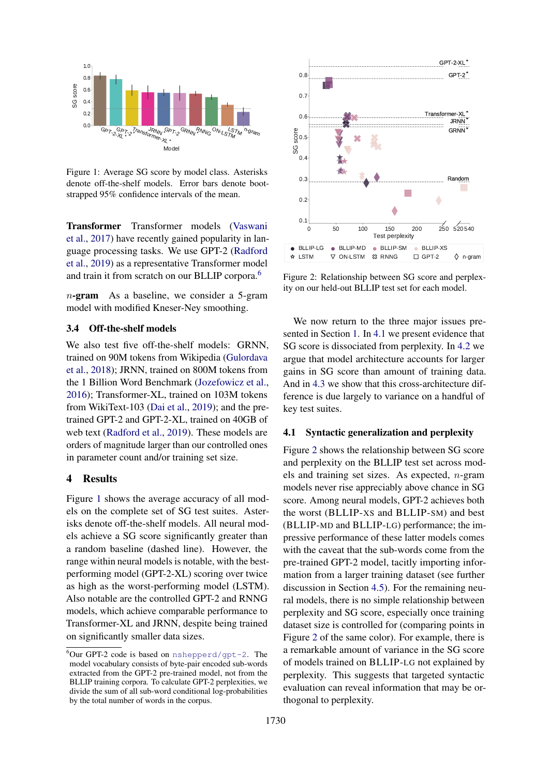<span id="page-5-1"></span>

Figure 1: Average SG score by model class. Asterisks denote off-the-shelf models. Error bars denote bootstrapped 95% confidence intervals of the mean.

<span id="page-5-0"></span>Transformer Transformer models [\(Vaswani](#page-11-14) [et al.,](#page-11-14) [2017\)](#page-11-14) have recently gained popularity in language processing tasks. We use GPT-2 [\(Radford](#page-10-10) [et al.,](#page-10-10) [2019\)](#page-10-10) as a representative Transformer model and train it from scratch on our BLLIP corpora.[6](#page-0-0)

n-gram As a baseline, we consider a 5-gram model with modified Kneser-Ney smoothing.

### 3.4 Off-the-shelf models

We also test five off-the-shelf models: GRNN, trained on 90M tokens from Wikipedia [\(Gulordava](#page-9-5) [et al.,](#page-9-5) [2018\)](#page-9-5); JRNN, trained on 800M tokens from the 1 Billion Word Benchmark [\(Jozefowicz et al.,](#page-10-11) [2016\)](#page-10-11); Transformer-XL, trained on 103M tokens from WikiText-103 [\(Dai et al.,](#page-9-15) [2019\)](#page-9-15); and the pretrained GPT-2 and GPT-2-XL, trained on 40GB of web text [\(Radford et al.,](#page-10-10) [2019\)](#page-10-10). These models are orders of magnitude larger than our controlled ones in parameter count and/or training set size.

# 4 Results

Figure [1](#page-5-1) shows the average accuracy of all models on the complete set of SG test suites. Asterisks denote off-the-shelf models. All neural models achieve a SG score significantly greater than a random baseline (dashed line). However, the range within neural models is notable, with the bestperforming model (GPT-2-XL) scoring over twice as high as the worst-performing model (LSTM). Also notable are the controlled GPT-2 and RNNG models, which achieve comparable performance to Transformer-XL and JRNN, despite being trained on significantly smaller data sizes.

<span id="page-5-3"></span>

Figure 2: Relationship between SG score and perplexity on our held-out BLLIP test set for each model.

We now return to the three major issues presented in Section [1.](#page-0-1) In [4.1](#page-5-2) we present evidence that SG score is dissociated from perplexity. In [4.2](#page-6-0) we argue that model architecture accounts for larger gains in SG score than amount of training data. And in [4.3](#page-6-1) we show that this cross-architecture difference is due largely to variance on a handful of key test suites.

#### <span id="page-5-2"></span>4.1 Syntactic generalization and perplexity

Figure [2](#page-5-3) shows the relationship between SG score and perplexity on the BLLIP test set across models and training set sizes. As expected,  $n$ -gram models never rise appreciably above chance in SG score. Among neural models, GPT-2 achieves both the worst (BLLIP-XS and BLLIP-SM) and best (BLLIP-MD and BLLIP-LG) performance; the impressive performance of these latter models comes with the caveat that the sub-words come from the pre-trained GPT-2 model, tacitly importing information from a larger training dataset (see further discussion in Section [4.5\)](#page-8-0). For the remaining neural models, there is no simple relationship between perplexity and SG score, especially once training dataset size is controlled for (comparing points in Figure [2](#page-5-3) of the same color). For example, there is a remarkable amount of variance in the SG score of models trained on BLLIP-LG not explained by perplexity. This suggests that targeted syntactic evaluation can reveal information that may be orthogonal to perplexity.

 $6$ Our GPT-2 code is based on [nshepperd/gpt-2](https://github.com/nshepperd/gpt-2). The model vocabulary consists of byte-pair encoded sub-words extracted from the GPT-2 pre-trained model, not from the BLLIP training corpora. To calculate GPT-2 perplexities, we divide the sum of all sub-word conditional log-probabilities by the total number of words in the corpus.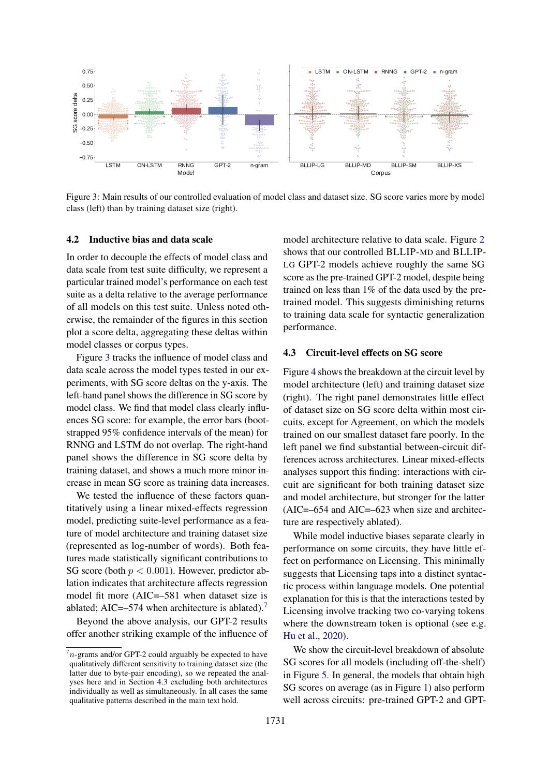<span id="page-6-2"></span>

Figure 3: Main results of our controlled evaluation of model class and dataset size. SG score varies more by model class (left) than by training dataset size (right).

#### <span id="page-6-0"></span>4.2 Inductive bias and data scale

In order to decouple the effects of model class and data scale from test suite difficulty, we represent a particular trained model's performance on each test suite as a delta relative to the average performance of all models on this test suite. Unless noted otherwise, the remainder of the figures in this section plot a score delta, aggregating these deltas within model classes or corpus types.

Figure [3](#page-6-2) tracks the influence of model class and data scale across the model types tested in our experiments, with SG score deltas on the y-axis. The left-hand panel shows the difference in SG score by model class. We find that model class clearly influences SG score: for example, the error bars (bootstrapped 95% confidence intervals of the mean) for RNNG and LSTM do not overlap. The right-hand panel shows the difference in SG score delta by training dataset, and shows a much more minor increase in mean SG score as training data increases.

We tested the influence of these factors quantitatively using a linear mixed-effects regression model, predicting suite-level performance as a feature of model architecture and training dataset size (represented as log-number of words). Both features made statistically significant contributions to SG score (both  $p < 0.001$ ). However, predictor ablation indicates that architecture affects regression model fit more (AIC=–581 when dataset size is ablated; AIC= $-574$  $-574$  $-574$  when architecture is ablated).<sup>7</sup>

Beyond the above analysis, our GPT-2 results offer another striking example of the influence of

model architecture relative to data scale. Figure [2](#page-5-3) shows that our controlled BLLIP-MD and BLLIP-LG GPT-2 models achieve roughly the same SG score as the pre-trained GPT-2 model, despite being trained on less than 1% of the data used by the pretrained model. This suggests diminishing returns to training data scale for syntactic generalization performance.

# <span id="page-6-1"></span>4.3 Circuit-level effects on SG score

Figure [4](#page-7-0) shows the breakdown at the circuit level by model architecture (left) and training dataset size (right). The right panel demonstrates little effect of dataset size on SG score delta within most circuits, except for Agreement, on which the models trained on our smallest dataset fare poorly. In the left panel we find substantial between-circuit differences across architectures. Linear mixed-effects analyses support this finding: interactions with circuit are significant for both training dataset size and model architecture, but stronger for the latter  $(AIC=-654$  and  $AIC=-623$  when size and architecture are respectively ablated).

While model inductive biases separate clearly in performance on some circuits, they have little effect on performance on Licensing. This minimally suggests that Licensing taps into a distinct syntactic process within language models. One potential explanation for this is that the interactions tested by Licensing involve tracking two co-varying tokens where the downstream token is optional (see e.g. [Hu et al.,](#page-10-12) [2020\)](#page-10-12).

We show the circuit-level breakdown of absolute SG scores for all models (including off-the-shelf) in Figure [5.](#page-7-1) In general, the models that obtain high SG scores on average (as in Figure [1\)](#page-5-1) also perform well across circuits: pre-trained GPT-2 and GPT-

 $7n$ -grams and/or GPT-2 could arguably be expected to have qualitatively different sensitivity to training dataset size (the latter due to byte-pair encoding), so we repeated the analyses here and in Section [4.3](#page-6-1) excluding both architectures individually as well as simultaneously. In all cases the same qualitative patterns described in the main text hold.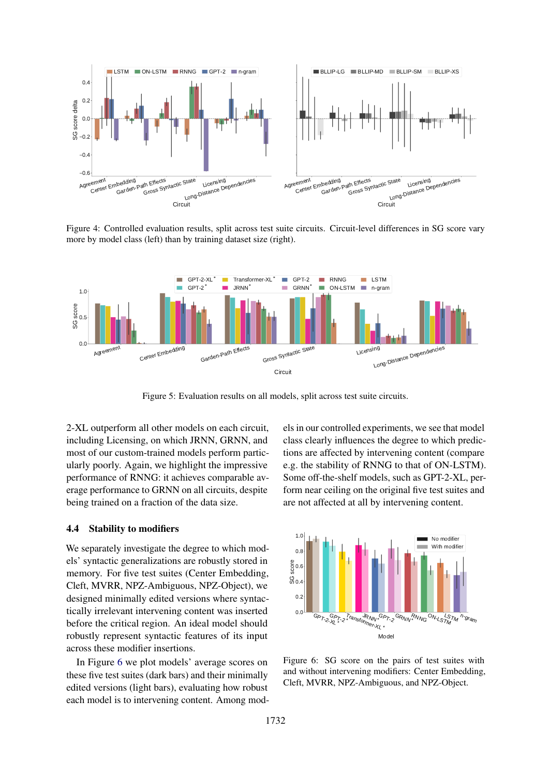<span id="page-7-0"></span>

Figure 4: Controlled evaluation results, split across test suite circuits. Circuit-level differences in SG score vary more by model class (left) than by training dataset size (right).

<span id="page-7-1"></span>

Figure 5: Evaluation results on all models, split across test suite circuits.

2-XL outperform all other models on each circuit, including Licensing, on which JRNN, GRNN, and most of our custom-trained models perform particularly poorly. Again, we highlight the impressive performance of RNNG: it achieves comparable average performance to GRNN on all circuits, despite being trained on a fraction of the data size.

### 4.4 Stability to modifiers

We separately investigate the degree to which models' syntactic generalizations are robustly stored in memory. For five test suites (Center Embedding, Cleft, MVRR, NPZ-Ambiguous, NPZ-Object), we designed minimally edited versions where syntactically irrelevant intervening content was inserted before the critical region. An ideal model should robustly represent syntactic features of its input across these modifier insertions.

In Figure [6](#page-7-2) we plot models' average scores on these five test suites (dark bars) and their minimally edited versions (light bars), evaluating how robust each model is to intervening content. Among models in our controlled experiments, we see that model class clearly influences the degree to which predictions are affected by intervening content (compare e.g. the stability of RNNG to that of ON-LSTM). Some off-the-shelf models, such as GPT-2-XL, perform near ceiling on the original five test suites and are not affected at all by intervening content.

<span id="page-7-2"></span>

Figure 6: SG score on the pairs of test suites with and without intervening modifiers: Center Embedding, Cleft, MVRR, NPZ-Ambiguous, and NPZ-Object.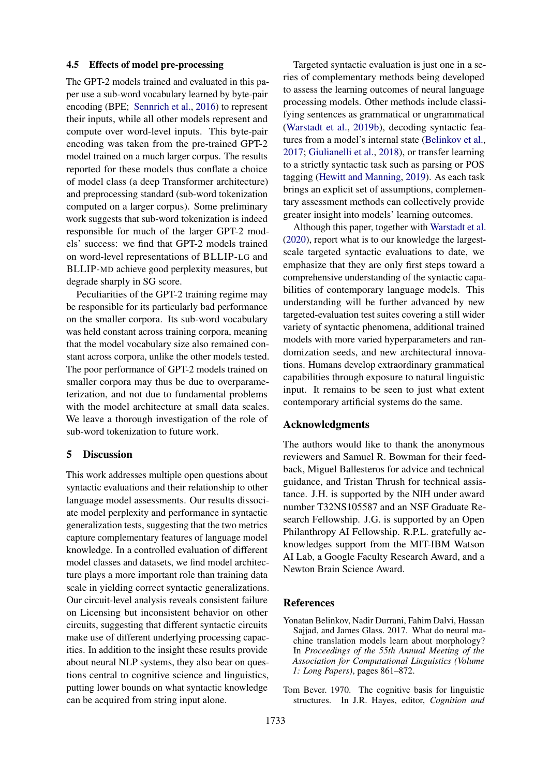### <span id="page-8-0"></span>4.5 Effects of model pre-processing

The GPT-2 models trained and evaluated in this paper use a sub-word vocabulary learned by byte-pair encoding (BPE; [Sennrich et al.,](#page-10-13) [2016\)](#page-10-13) to represent their inputs, while all other models represent and compute over word-level inputs. This byte-pair encoding was taken from the pre-trained GPT-2 model trained on a much larger corpus. The results reported for these models thus conflate a choice of model class (a deep Transformer architecture) and preprocessing standard (sub-word tokenization computed on a larger corpus). Some preliminary work suggests that sub-word tokenization is indeed responsible for much of the larger GPT-2 models' success: we find that GPT-2 models trained on word-level representations of BLLIP-LG and BLLIP-MD achieve good perplexity measures, but degrade sharply in SG score.

Peculiarities of the GPT-2 training regime may be responsible for its particularly bad performance on the smaller corpora. Its sub-word vocabulary was held constant across training corpora, meaning that the model vocabulary size also remained constant across corpora, unlike the other models tested. The poor performance of GPT-2 models trained on smaller corpora may thus be due to overparameterization, and not due to fundamental problems with the model architecture at small data scales. We leave a thorough investigation of the role of sub-word tokenization to future work.

### 5 Discussion

This work addresses multiple open questions about syntactic evaluations and their relationship to other language model assessments. Our results dissociate model perplexity and performance in syntactic generalization tests, suggesting that the two metrics capture complementary features of language model knowledge. In a controlled evaluation of different model classes and datasets, we find model architecture plays a more important role than training data scale in yielding correct syntactic generalizations. Our circuit-level analysis reveals consistent failure on Licensing but inconsistent behavior on other circuits, suggesting that different syntactic circuits make use of different underlying processing capacities. In addition to the insight these results provide about neural NLP systems, they also bear on questions central to cognitive science and linguistics, putting lower bounds on what syntactic knowledge can be acquired from string input alone.

Targeted syntactic evaluation is just one in a series of complementary methods being developed to assess the learning outcomes of neural language processing models. Other methods include classifying sentences as grammatical or ungrammatical [\(Warstadt et al.,](#page-11-15) [2019b\)](#page-11-15), decoding syntactic features from a model's internal state [\(Belinkov et al.,](#page-8-1) [2017;](#page-8-1) [Giulianelli et al.,](#page-9-16) [2018\)](#page-9-16), or transfer learning to a strictly syntactic task such as parsing or POS tagging [\(Hewitt and Manning,](#page-10-14) [2019\)](#page-10-14). As each task brings an explicit set of assumptions, complementary assessment methods can collectively provide greater insight into models' learning outcomes.

Although this paper, together with [Warstadt et al.](#page-11-7) [\(2020\)](#page-11-7), report what is to our knowledge the largestscale targeted syntactic evaluations to date, we emphasize that they are only first steps toward a comprehensive understanding of the syntactic capabilities of contemporary language models. This understanding will be further advanced by new targeted-evaluation test suites covering a still wider variety of syntactic phenomena, additional trained models with more varied hyperparameters and randomization seeds, and new architectural innovations. Humans develop extraordinary grammatical capabilities through exposure to natural linguistic input. It remains to be seen to just what extent contemporary artificial systems do the same.

### Acknowledgments

The authors would like to thank the anonymous reviewers and Samuel R. Bowman for their feedback, Miguel Ballesteros for advice and technical guidance, and Tristan Thrush for technical assistance. J.H. is supported by the NIH under award number T32NS105587 and an NSF Graduate Research Fellowship. J.G. is supported by an Open Philanthropy AI Fellowship. R.P.L. gratefully acknowledges support from the MIT-IBM Watson AI Lab, a Google Faculty Research Award, and a Newton Brain Science Award.

### **References**

- <span id="page-8-1"></span>Yonatan Belinkov, Nadir Durrani, Fahim Dalvi, Hassan Sajjad, and James Glass. 2017. What do neural machine translation models learn about morphology? In *Proceedings of the 55th Annual Meeting of the Association for Computational Linguistics (Volume 1: Long Papers)*, pages 861–872.
- <span id="page-8-2"></span>Tom Bever. 1970. The cognitive basis for linguistic structures. In J.R. Hayes, editor, *Cognition and*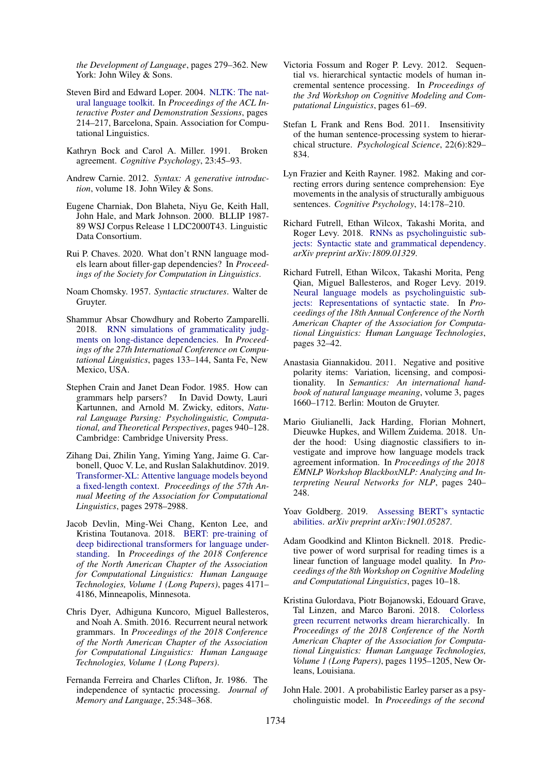*the Development of Language*, pages 279–362. New York: John Wiley & Sons.

- <span id="page-9-11"></span>Steven Bird and Edward Loper. 2004. [NLTK: The nat](https://www.aclweb.org/anthology/P04-3031)[ural language toolkit.](https://www.aclweb.org/anthology/P04-3031) In *Proceedings of the ACL Interactive Poster and Demonstration Sessions*, pages 214–217, Barcelona, Spain. Association for Computational Linguistics.
- <span id="page-9-22"></span>Kathryn Bock and Carol A. Miller. 1991. Broken agreement. *Cognitive Psychology*, 23:45–93.
- <span id="page-9-9"></span>Andrew Carnie. 2012. *Syntax: A generative introduction*, volume 18. John Wiley & Sons.
- <span id="page-9-10"></span>Eugene Charniak, Don Blaheta, Niyu Ge, Keith Hall, John Hale, and Mark Johnson. 2000. BLLIP 1987- 89 WSJ Corpus Release 1 LDC2000T43. Linguistic Data Consortium.
- <span id="page-9-19"></span>Rui P. Chaves. 2020. What don't RNN language models learn about filler-gap dependencies? In *Proceedings of the Society for Computation in Linguistics*.
- <span id="page-9-4"></span>Noam Chomsky. 1957. *Syntactic structures*. Walter de Gruyter.
- <span id="page-9-18"></span>Shammur Absar Chowdhury and Roberto Zamparelli. 2018. [RNN simulations of grammaticality judg](https://www.aclweb.org/anthology/C18-1012)[ments on long-distance dependencies.](https://www.aclweb.org/anthology/C18-1012) In *Proceedings of the 27th International Conference on Computational Linguistics*, pages 133–144, Santa Fe, New Mexico, USA.
- <span id="page-9-17"></span>Stephen Crain and Janet Dean Fodor. 1985. How can grammars help parsers? In David Dowty, Lauri Kartunnen, and Arnold M. Zwicky, editors, *Natural Language Parsing: Psycholinguistic, Computational, and Theoretical Perspectives*, pages 940–128. Cambridge: Cambridge University Press.
- <span id="page-9-15"></span>Zihang Dai, Zhilin Yang, Yiming Yang, Jaime G. Carbonell, Quoc V. Le, and Ruslan Salakhutdinov. 2019. [Transformer-XL: Attentive language models beyond](https://www.aclweb.org/anthology/P19-1285) [a fixed-length context.](https://www.aclweb.org/anthology/P19-1285) *Proceedings of the 57th Annual Meeting of the Association for Computational Linguistics*, pages 2978–2988.
- <span id="page-9-12"></span>Jacob Devlin, Ming-Wei Chang, Kenton Lee, and Kristina Toutanova. 2018. [BERT: pre-training of](https://www.aclweb.org/anthology/N19-1423) [deep bidirectional transformers for language under](https://www.aclweb.org/anthology/N19-1423)[standing.](https://www.aclweb.org/anthology/N19-1423) In *Proceedings of the 2018 Conference of the North American Chapter of the Association for Computational Linguistics: Human Language Technologies, Volume 1 (Long Papers)*, pages 4171– 4186, Minneapolis, Minnesota.
- <span id="page-9-14"></span>Chris Dyer, Adhiguna Kuncoro, Miguel Ballesteros, and Noah A. Smith. 2016. Recurrent neural network grammars. In *Proceedings of the 2018 Conference of the North American Chapter of the Association for Computational Linguistics: Human Language Technologies, Volume 1 (Long Papers)*.
- <span id="page-9-7"></span>Fernanda Ferreira and Charles Clifton, Jr. 1986. The independence of syntactic processing. *Journal of Memory and Language*, 25:348–368.
- <span id="page-9-2"></span>Victoria Fossum and Roger P. Levy. 2012. Sequential vs. hierarchical syntactic models of human incremental sentence processing. In *Proceedings of the 3rd Workshop on Cognitive Modeling and Computational Linguistics*, pages 61–69.
- <span id="page-9-1"></span>Stefan L Frank and Rens Bod. 2011. Insensitivity of the human sentence-processing system to hierarchical structure. *Psychological Science*, 22(6):829– 834.
- <span id="page-9-21"></span>Lyn Frazier and Keith Rayner. 1982. Making and correcting errors during sentence comprehension: Eye movements in the analysis of structurally ambiguous sentences. *Cognitive Psychology*, 14:178–210.
- <span id="page-9-0"></span>Richard Futrell, Ethan Wilcox, Takashi Morita, and Roger Levy. 2018. [RNNs as psycholinguistic sub](http://arxiv.org/abs/1809.01329)[jects: Syntactic state and grammatical dependency.](http://arxiv.org/abs/1809.01329) *arXiv preprint arXiv:1809.01329*.
- <span id="page-9-6"></span>Richard Futrell, Ethan Wilcox, Takashi Morita, Peng Qian, Miguel Ballesteros, and Roger Levy. 2019. [Neural language models as psycholinguistic sub](https://www.aclweb.org/anthology/N19-1004)[jects: Representations of syntactic state.](https://www.aclweb.org/anthology/N19-1004) In *Proceedings of the 18th Annual Conference of the North American Chapter of the Association for Computational Linguistics: Human Language Technologies*, pages 32–42.
- <span id="page-9-20"></span>Anastasia Giannakidou. 2011. Negative and positive polarity items: Variation, licensing, and compositionality. In *Semantics: An international handbook of natural language meaning*, volume 3, pages 1660–1712. Berlin: Mouton de Gruyter.
- <span id="page-9-16"></span>Mario Giulianelli, Jack Harding, Florian Mohnert, Dieuwke Hupkes, and Willem Zuidema. 2018. Under the hood: Using diagnostic classifiers to investigate and improve how language models track agreement information. In *Proceedings of the 2018 EMNLP Workshop BlackboxNLP: Analyzing and Interpreting Neural Networks for NLP*, pages 240– 248.
- <span id="page-9-13"></span>Yoav Goldberg. 2019. [Assessing BERT's syntactic](https://arxiv.org/abs/1901.05287) [abilities.](https://arxiv.org/abs/1901.05287) *arXiv preprint arXiv:1901.05287*.
- <span id="page-9-3"></span>Adam Goodkind and Klinton Bicknell. 2018. Predictive power of word surprisal for reading times is a linear function of language model quality. In *Proceedings of the 8th Workshop on Cognitive Modeling and Computational Linguistics*, pages 10–18.
- <span id="page-9-5"></span>Kristina Gulordava, Piotr Bojanowski, Edouard Grave, Tal Linzen, and Marco Baroni. 2018. [Colorless](https://doi.org/10.18653/v1/N18-1108) [green recurrent networks dream hierarchically.](https://doi.org/10.18653/v1/N18-1108) In *Proceedings of the 2018 Conference of the North American Chapter of the Association for Computational Linguistics: Human Language Technologies, Volume 1 (Long Papers)*, pages 1195–1205, New Orleans, Louisiana.
- <span id="page-9-8"></span>John Hale. 2001. A probabilistic Earley parser as a psycholinguistic model. In *Proceedings of the second*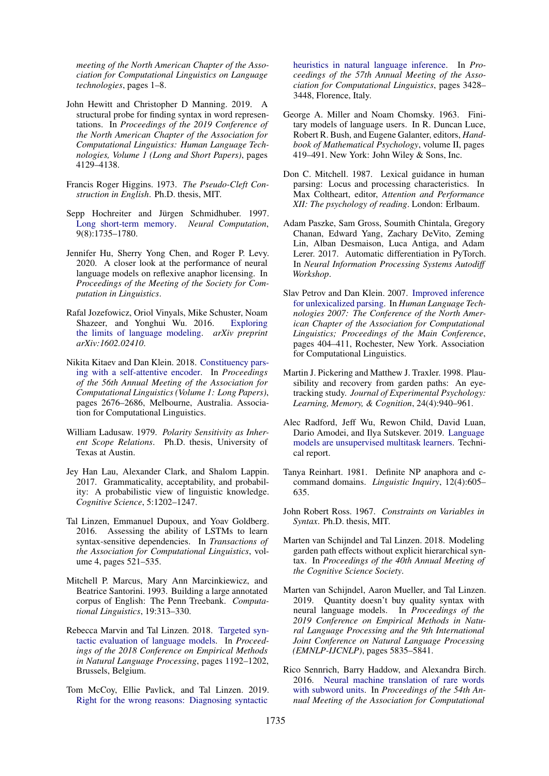*meeting of the North American Chapter of the Association for Computational Linguistics on Language technologies*, pages 1–8.

- <span id="page-10-14"></span>John Hewitt and Christopher D Manning. 2019. A structural probe for finding syntax in word representations. In *Proceedings of the 2019 Conference of the North American Chapter of the Association for Computational Linguistics: Human Language Technologies, Volume 1 (Long and Short Papers)*, pages 4129–4138.
- <span id="page-10-16"></span>Francis Roger Higgins. 1973. *The Pseudo-Cleft Construction in English*. Ph.D. thesis, MIT.
- <span id="page-10-7"></span>Sepp Hochreiter and Jürgen Schmidhuber. 1997. [Long short-term memory.](https://doi.org/10.1162/neco.1997.9.8.1735) *Neural Computation*, 9(8):1735–1780.
- <span id="page-10-12"></span>Jennifer Hu, Sherry Yong Chen, and Roger P. Levy. 2020. A closer look at the performance of neural language models on reflexive anaphor licensing. In *Proceedings of the Meeting of the Society for Computation in Linguistics*.
- <span id="page-10-11"></span>Rafal Jozefowicz, Oriol Vinyals, Mike Schuster, Noam Shazeer, and Yonghui Wu. 2016. [Exploring](https://arxiv.org/abs/1602.02410) [the limits of language modeling.](https://arxiv.org/abs/1602.02410) *arXiv preprint arXiv:1602.02410*.
- <span id="page-10-9"></span>Nikita Kitaev and Dan Klein. 2018. [Constituency pars](https://doi.org/10.18653/v1/P18-1249)[ing with a self-attentive encoder.](https://doi.org/10.18653/v1/P18-1249) In *Proceedings of the 56th Annual Meeting of the Association for Computational Linguistics (Volume 1: Long Papers)*, pages 2676–2686, Melbourne, Australia. Association for Computational Linguistics.
- <span id="page-10-19"></span>William Ladusaw. 1979. *Polarity Sensitivity as Inherent Scope Relations*. Ph.D. thesis, University of Texas at Austin.
- <span id="page-10-4"></span>Jey Han Lau, Alexander Clark, and Shalom Lappin. 2017. Grammaticality, acceptability, and probability: A probabilistic view of linguistic knowledge. *Cognitive Science*, 5:1202–1247.
- <span id="page-10-0"></span>Tal Linzen, Emmanuel Dupoux, and Yoav Goldberg. 2016. Assessing the ability of LSTMs to learn syntax-sensitive dependencies. In *Transactions of the Association for Computational Linguistics*, volume 4, pages 521–535.
- <span id="page-10-5"></span>Mitchell P. Marcus, Mary Ann Marcinkiewicz, and Beatrice Santorini. 1993. Building a large annotated corpus of English: The Penn Treebank. *Computational Linguistics*, 19:313–330.
- <span id="page-10-1"></span>Rebecca Marvin and Tal Linzen. 2018. [Targeted syn](http://tallinzen.net/media/papers/marvin_linzen_2018_emnlp.pdf)[tactic evaluation of language models.](http://tallinzen.net/media/papers/marvin_linzen_2018_emnlp.pdf) In *Proceedings of the 2018 Conference on Empirical Methods in Natural Language Processing*, pages 1192–1202, Brussels, Belgium.
- <span id="page-10-2"></span>Tom McCoy, Ellie Pavlick, and Tal Linzen. 2019. [Right for the wrong reasons: Diagnosing syntactic](https://doi.org/10.18653/v1/P19-1334)

[heuristics in natural language inference.](https://doi.org/10.18653/v1/P19-1334) In *Proceedings of the 57th Annual Meeting of the Association for Computational Linguistics*, pages 3428– 3448, Florence, Italy.

- <span id="page-10-15"></span>George A. Miller and Noam Chomsky. 1963. Finitary models of language users. In R. Duncan Luce, Robert R. Bush, and Eugene Galanter, editors, *Handbook of Mathematical Psychology*, volume II, pages 419–491. New York: John Wiley & Sons, Inc.
- <span id="page-10-20"></span>Don C. Mitchell. 1987. Lexical guidance in human parsing: Locus and processing characteristics. In Max Coltheart, editor, *Attention and Performance XII: The psychology of reading*. London: Erlbaum.
- <span id="page-10-8"></span>Adam Paszke, Sam Gross, Soumith Chintala, Gregory Chanan, Edward Yang, Zachary DeVito, Zeming Lin, Alban Desmaison, Luca Antiga, and Adam Lerer. 2017. Automatic differentiation in PyTorch. In *Neural Information Processing Systems Autodiff Workshop*.
- <span id="page-10-6"></span>Slav Petrov and Dan Klein. 2007. [Improved inference](https://www.aclweb.org/anthology/N07-1051) [for unlexicalized parsing.](https://www.aclweb.org/anthology/N07-1051) In *Human Language Technologies 2007: The Conference of the North American Chapter of the Association for Computational Linguistics; Proceedings of the Main Conference*, pages 404–411, Rochester, New York. Association for Computational Linguistics.
- <span id="page-10-21"></span>Martin J. Pickering and Matthew J. Traxler. 1998. Plausibility and recovery from garden paths: An eyetracking study. *Journal of Experimental Psychology: Learning, Memory, & Cognition*, 24(4):940–961.
- <span id="page-10-10"></span>Alec Radford, Jeff Wu, Rewon Child, David Luan, Dario Amodei, and Ilya Sutskever. 2019. [Language](https://d4mucfpksywv.cloudfront.net/better-language-models/language-models.pdf) [models are unsupervised multitask learners.](https://d4mucfpksywv.cloudfront.net/better-language-models/language-models.pdf) Technical report.
- <span id="page-10-22"></span>Tanya Reinhart. 1981. Definite NP anaphora and ccommand domains. *Linguistic Inquiry*, 12(4):605– 635.
- <span id="page-10-17"></span>John Robert Ross. 1967. *Constraints on Variables in Syntax*. Ph.D. thesis, MIT.
- <span id="page-10-18"></span>Marten van Schijndel and Tal Linzen. 2018. Modeling garden path effects without explicit hierarchical syntax. In *Proceedings of the 40th Annual Meeting of the Cognitive Science Society*.
- <span id="page-10-3"></span>Marten van Schijndel, Aaron Mueller, and Tal Linzen. 2019. Quantity doesn't buy quality syntax with neural language models. In *Proceedings of the 2019 Conference on Empirical Methods in Natural Language Processing and the 9th International Joint Conference on Natural Language Processing (EMNLP-IJCNLP)*, pages 5835–5841.
- <span id="page-10-13"></span>Rico Sennrich, Barry Haddow, and Alexandra Birch. 2016. [Neural machine translation of rare words](https://doi.org/10.18653/v1/P16-1162) [with subword units.](https://doi.org/10.18653/v1/P16-1162) In *Proceedings of the 54th Annual Meeting of the Association for Computational*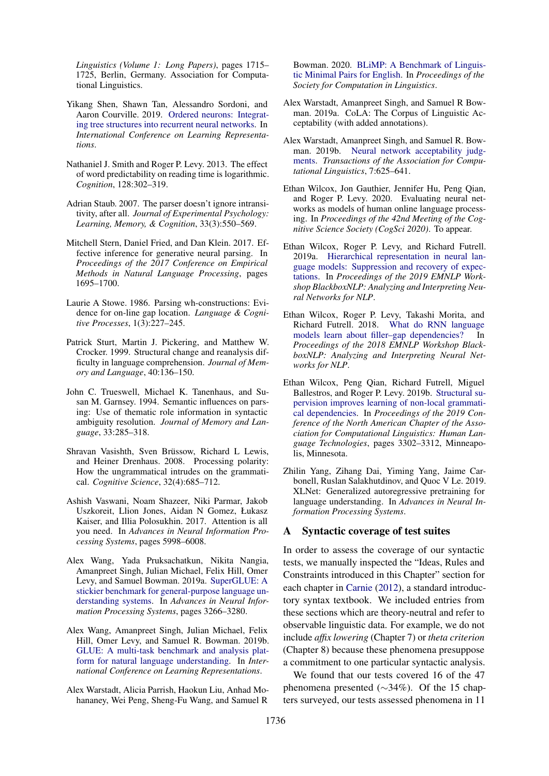*Linguistics (Volume 1: Long Papers)*, pages 1715– 1725, Berlin, Germany. Association for Computational Linguistics.

- <span id="page-11-12"></span>Yikang Shen, Shawn Tan, Alessandro Sordoni, and Aaron Courville. 2019. [Ordered neurons: Integrat](https://openreview.net/forum?id=B1l6qiR5F7)[ing tree structures into recurrent neural networks.](https://openreview.net/forum?id=B1l6qiR5F7) In *International Conference on Learning Representations*.
- <span id="page-11-5"></span>Nathaniel J. Smith and Roger P. Levy. 2013. The effect of word predictability on reading time is logarithmic. *Cognition*, 128:302–319.
- <span id="page-11-19"></span>Adrian Staub. 2007. The parser doesn't ignore intransitivity, after all. *Journal of Experimental Psychology: Learning, Memory, & Cognition*, 33(3):550–569.
- <span id="page-11-13"></span>Mitchell Stern, Daniel Fried, and Dan Klein. 2017. Effective inference for generative neural parsing. In *Proceedings of the 2017 Conference on Empirical Methods in Natural Language Processing*, pages 1695–1700.
- <span id="page-11-16"></span>Laurie A Stowe. 1986. Parsing wh-constructions: Evidence for on-line gap location. *Language & Cognitive Processes*, 1(3):227–245.
- <span id="page-11-18"></span>Patrick Sturt, Martin J. Pickering, and Matthew W. Crocker. 1999. Structural change and reanalysis difficulty in language comprehension. *Journal of Memory and Language*, 40:136–150.
- <span id="page-11-4"></span>John C. Trueswell, Michael K. Tanenhaus, and Susan M. Garnsey. 1994. Semantic influences on parsing: Use of thematic role information in syntactic ambiguity resolution. *Journal of Memory and Language*, 33:285–318.
- <span id="page-11-17"></span>Shravan Vasishth, Sven Brüssow, Richard L Lewis, and Heiner Drenhaus. 2008. Processing polarity: How the ungrammatical intrudes on the grammatical. *Cognitive Science*, 32(4):685–712.
- <span id="page-11-14"></span>Ashish Vaswani, Noam Shazeer, Niki Parmar, Jakob Uszkoreit, Llion Jones, Aidan N Gomez, Łukasz Kaiser, and Illia Polosukhin. 2017. Attention is all you need. In *Advances in Neural Information Processing Systems*, pages 5998–6008.
- <span id="page-11-0"></span>Alex Wang, Yada Pruksachatkun, Nikita Nangia, Amanpreet Singh, Julian Michael, Felix Hill, Omer Levy, and Samuel Bowman. 2019a. [SuperGLUE: A](http://papers.nips.cc/paper/8589-superglue-a-stickier-benchmark-for-general-purpose-language-understanding-systems.pdf) [stickier benchmark for general-purpose language un](http://papers.nips.cc/paper/8589-superglue-a-stickier-benchmark-for-general-purpose-language-understanding-systems.pdf)[derstanding systems.](http://papers.nips.cc/paper/8589-superglue-a-stickier-benchmark-for-general-purpose-language-understanding-systems.pdf) In *Advances in Neural Information Processing Systems*, pages 3266–3280.
- <span id="page-11-1"></span>Alex Wang, Amanpreet Singh, Julian Michael, Felix Hill, Omer Levy, and Samuel R. Bowman. 2019b. [GLUE: A multi-task benchmark and analysis plat](https://openreview.net/forum?id=rJ4km2R5t7)[form for natural language understanding.](https://openreview.net/forum?id=rJ4km2R5t7) In *International Conference on Learning Representations*.
- <span id="page-11-7"></span>Alex Warstadt, Alicia Parrish, Haokun Liu, Anhad Mohananey, Wei Peng, Sheng-Fu Wang, and Samuel R

Bowman. 2020. [BLiMP: A Benchmark of Linguis](https://doi.org/10.7275/zejz-qs04)[tic Minimal Pairs for English.](https://doi.org/10.7275/zejz-qs04) In *Proceedings of the Society for Computation in Linguistics*.

- <span id="page-11-6"></span>Alex Warstadt, Amanpreet Singh, and Samuel R Bowman. 2019a. CoLA: The Corpus of Linguistic Acceptability (with added annotations).
- <span id="page-11-15"></span>Alex Warstadt, Amanpreet Singh, and Samuel R. Bowman. 2019b. [Neural network acceptability judg](https://doi.org/10.1162/tacl_a_00290)[ments.](https://doi.org/10.1162/tacl_a_00290) *Transactions of the Association for Computational Linguistics*, 7:625–641.
- <span id="page-11-3"></span>Ethan Wilcox, Jon Gauthier, Jennifer Hu, Peng Qian, and Roger P. Levy. 2020. Evaluating neural networks as models of human online language processing. In *Proceedings of the 42nd Meeting of the Cognitive Science Society (CogSci 2020)*. To appear.
- <span id="page-11-9"></span>Ethan Wilcox, Roger P. Levy, and Richard Futrell. 2019a. [Hierarchical representation in neural lan](https://www.aclweb.org/anthology/W19-4819.pdf)[guage models: Suppression and recovery of expec](https://www.aclweb.org/anthology/W19-4819.pdf)[tations.](https://www.aclweb.org/anthology/W19-4819.pdf) In *Proceedings of the 2019 EMNLP Workshop BlackboxNLP: Analyzing and Interpreting Neural Networks for NLP*.
- <span id="page-11-10"></span>Ethan Wilcox, Roger P. Levy, Takashi Morita, and Richard Futrell. 2018. [What do RNN language](https://www.aclweb.org/anthology/W18-5423) [models learn about filler–gap dependencies?](https://www.aclweb.org/anthology/W18-5423) In *Proceedings of the 2018 EMNLP Workshop BlackboxNLP: Analyzing and Interpreting Neural Networks for NLP*.
- <span id="page-11-2"></span>Ethan Wilcox, Peng Qian, Richard Futrell, Miguel Ballestros, and Roger P. Levy. 2019b. [Structural su](https://www.aclweb.org/anthology/N19-1334)[pervision improves learning of non-local grammati](https://www.aclweb.org/anthology/N19-1334)[cal dependencies.](https://www.aclweb.org/anthology/N19-1334) In *Proceedings of the 2019 Conference of the North American Chapter of the Association for Computational Linguistics: Human Language Technologies*, pages 3302–3312, Minneapolis, Minnesota.
- <span id="page-11-11"></span>Zhilin Yang, Zihang Dai, Yiming Yang, Jaime Carbonell, Ruslan Salakhutdinov, and Quoc V Le. 2019. XLNet: Generalized autoregressive pretraining for language understanding. In *Advances in Neural Information Processing Systems*.

### <span id="page-11-8"></span>A Syntactic coverage of test suites

In order to assess the coverage of our syntactic tests, we manually inspected the "Ideas, Rules and Constraints introduced in this Chapter" section for each chapter in [Carnie](#page-9-9) [\(2012\)](#page-9-9), a standard introductory syntax textbook. We included entries from these sections which are theory-neutral and refer to observable linguistic data. For example, we do not include *affix lowering* (Chapter 7) or *theta criterion* (Chapter 8) because these phenomena presuppose a commitment to one particular syntactic analysis.

We found that our tests covered 16 of the 47 phenomena presented (∼34%). Of the 15 chapters surveyed, our tests assessed phenomena in 11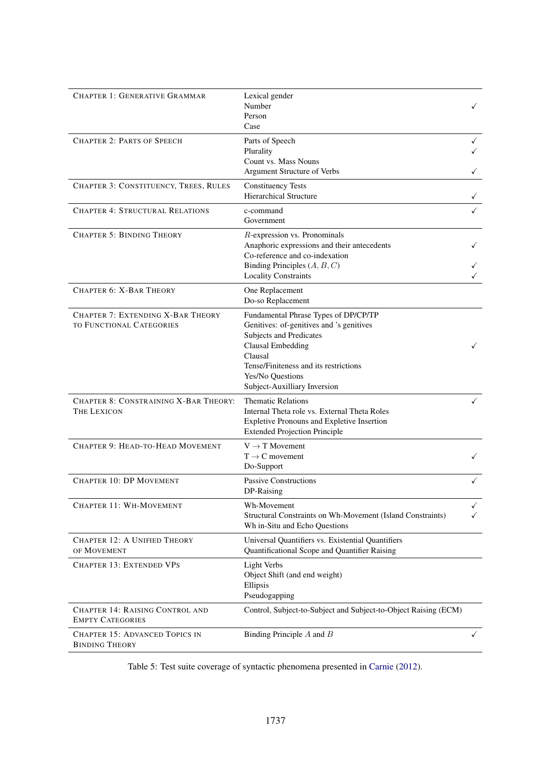<span id="page-12-0"></span>

| <b>CHAPTER 1: GENERATIVE GRAMMAR</b>                                        | Lexical gender<br>Number<br>Person<br>Case                                                                                                                                                                                                      |                   |
|-----------------------------------------------------------------------------|-------------------------------------------------------------------------------------------------------------------------------------------------------------------------------------------------------------------------------------------------|-------------------|
| <b>CHAPTER 2: PARTS OF SPEECH</b>                                           | Parts of Speech<br>Plurality<br>Count vs. Mass Nouns<br><b>Argument Structure of Verbs</b>                                                                                                                                                      | ✓                 |
| CHAPTER 3: CONSTITUENCY, TREES, RULES                                       | <b>Constituency Tests</b><br><b>Hierarchical Structure</b>                                                                                                                                                                                      |                   |
| <b>CHAPTER 4: STRUCTURAL RELATIONS</b>                                      | c-command<br>Government                                                                                                                                                                                                                         |                   |
| <b>CHAPTER 5: BINDING THEORY</b>                                            | R-expression vs. Pronominals<br>Anaphoric expressions and their antecedents<br>Co-reference and co-indexation<br>Binding Principles $(A, B, C)$<br><b>Locality Constraints</b>                                                                  |                   |
| <b>CHAPTER 6: X-BAR THEORY</b>                                              | One Replacement<br>Do-so Replacement                                                                                                                                                                                                            |                   |
| <b>CHAPTER 7: EXTENDING X-BAR THEORY</b><br><b>TO FUNCTIONAL CATEGORIES</b> | Fundamental Phrase Types of DP/CP/TP<br>Genitives: of-genitives and 's genitives<br>Subjects and Predicates<br><b>Clausal Embedding</b><br>Clausal<br>Tense/Finiteness and its restrictions<br>Yes/No Questions<br>Subject-Auxilliary Inversion | ✓                 |
| CHAPTER 8: CONSTRAINING X-BAR THEORY:<br><b>THE LEXICON</b>                 | <b>Thematic Relations</b><br>Internal Theta role vs. External Theta Roles<br>Expletive Pronouns and Expletive Insertion<br><b>Extended Projection Principle</b>                                                                                 | ✓                 |
| CHAPTER 9: HEAD-TO-HEAD MOVEMENT                                            | $V \rightarrow T$ Movement<br>$T \rightarrow C$ movement<br>Do-Support                                                                                                                                                                          |                   |
| <b>CHAPTER 10: DP MOVEMENT</b>                                              | Passive Constructions<br>DP-Raising                                                                                                                                                                                                             |                   |
| <b>CHAPTER 11: WH-MOVEMENT</b>                                              | Wh-Movement<br>Structural Constraints on Wh-Movement (Island Constraints)<br>Wh in-Situ and Echo Questions                                                                                                                                      | $\checkmark$<br>✓ |
| <b>CHAPTER 12: A UNIFIED THEORY</b><br>OF MOVEMENT                          | Universal Quantifiers vs. Existential Quantifiers<br>Quantificational Scope and Quantifier Raising                                                                                                                                              |                   |
| <b>CHAPTER 13: EXTENDED VPS</b>                                             | <b>Light Verbs</b><br>Object Shift (and end weight)<br>Ellipsis<br>Pseudogapping                                                                                                                                                                |                   |
| <b>CHAPTER 14: RAISING CONTROL AND</b><br><b>EMPTY CATEGORIES</b>           | Control, Subject-to-Subject and Subject-to-Object Raising (ECM)                                                                                                                                                                                 |                   |
| <b>CHAPTER 15: ADVANCED TOPICS IN</b><br><b>BINDING THEORY</b>              | Binding Principle $A$ and $B$                                                                                                                                                                                                                   | ✓                 |

Table 5: Test suite coverage of syntactic phenomena presented in [Carnie](#page-9-9) [\(2012\)](#page-9-9).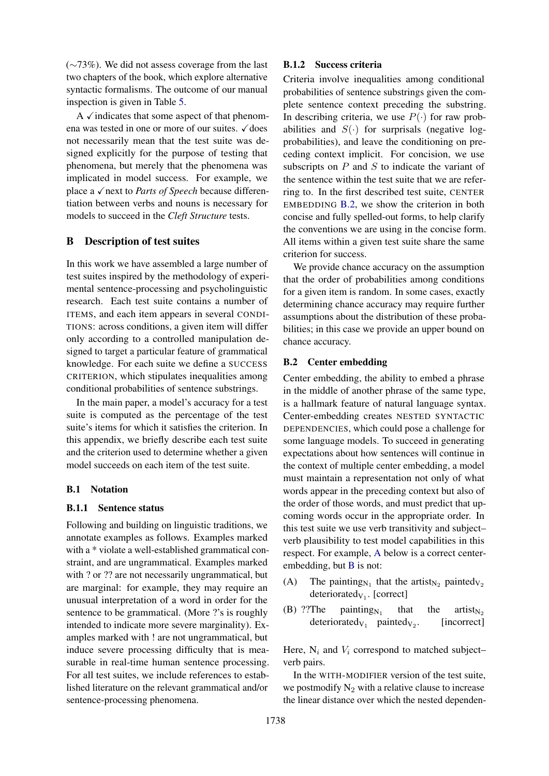(∼73%). We did not assess coverage from the last two chapters of the book, which explore alternative syntactic formalisms. The outcome of our manual inspection is given in Table [5.](#page-12-0)

A  $\checkmark$  indicates that some aspect of that phenomena was tested in one or more of our suites.  $\checkmark$  does not necessarily mean that the test suite was designed explicitly for the purpose of testing that phenomena, but merely that the phenomena was implicated in model success. For example, we place a √next to *Parts of Speech* because differentiation between verbs and nouns is necessary for models to succeed in the *Cleft Structure* tests.

# <span id="page-13-0"></span>B Description of test suites

In this work we have assembled a large number of test suites inspired by the methodology of experimental sentence-processing and psycholinguistic research. Each test suite contains a number of ITEMS, and each item appears in several CONDI-TIONS: across conditions, a given item will differ only according to a controlled manipulation designed to target a particular feature of grammatical knowledge. For each suite we define a SUCCESS CRITERION, which stipulates inequalities among conditional probabilities of sentence substrings.

In the main paper, a model's accuracy for a test suite is computed as the percentage of the test suite's items for which it satisfies the criterion. In this appendix, we briefly describe each test suite and the criterion used to determine whether a given model succeeds on each item of the test suite.

## B.1 Notation

#### B.1.1 Sentence status

Following and building on linguistic traditions, we annotate examples as follows. Examples marked with a \* violate a well-established grammatical constraint, and are ungrammatical. Examples marked with ? or ?? are not necessarily ungrammatical, but are marginal: for example, they may require an unusual interpretation of a word in order for the sentence to be grammatical. (More ?'s is roughly intended to indicate more severe marginality). Examples marked with ! are not ungrammatical, but induce severe processing difficulty that is measurable in real-time human sentence processing. For all test suites, we include references to established literature on the relevant grammatical and/or sentence-processing phenomena.

#### B.1.2 Success criteria

Criteria involve inequalities among conditional probabilities of sentence substrings given the complete sentence context preceding the substring. In describing criteria, we use  $P(\cdot)$  for raw probabilities and  $S(\cdot)$  for surprisals (negative logprobabilities), and leave the conditioning on preceding context implicit. For concision, we use subscripts on  $P$  and  $S$  to indicate the variant of the sentence within the test suite that we are referring to. In the first described test suite, CENTER EMBEDDING [B.2,](#page-13-1) we show the criterion in both concise and fully spelled-out forms, to help clarify the conventions we are using in the concise form. All items within a given test suite share the same criterion for success.

We provide chance accuracy on the assumption that the order of probabilities among conditions for a given item is random. In some cases, exactly determining chance accuracy may require further assumptions about the distribution of these probabilities; in this case we provide an upper bound on chance accuracy.

# <span id="page-13-1"></span>B.2 Center embedding

Center embedding, the ability to embed a phrase in the middle of another phrase of the same type, is a hallmark feature of natural language syntax. Center-embedding creates NESTED SYNTACTIC DEPENDENCIES, which could pose a challenge for some language models. To succeed in generating expectations about how sentences will continue in the context of multiple center embedding, a model must maintain a representation not only of what words appear in the preceding context but also of the order of those words, and must predict that upcoming words occur in the appropriate order. In this test suite we use verb transitivity and subject– verb plausibility to test model capabilities in this respect. For example, [A](#page-1-1) below is a correct centerembedding, but [B](#page-1-2) is not:

- (A) The painting<sub>N<sub>1</sub></sub> that the artist<sub>N<sub>2</sub></sub> painted<sub>V<sub>2</sub></sub> deteriorated $v_1$ . [correct]
- (B) ??The painting $N_1$ that the artist<sub>N2</sub> deteriorated<sub>V<sub>1</sub></sub> painted<sub>V<sub>2</sub></sub> [incorrect]

Here,  $N_i$  and  $V_i$  correspond to matched subjectverb pairs.

In the WITH-MODIFIER version of the test suite, we postmodify  $N_2$  with a relative clause to increase the linear distance over which the nested dependen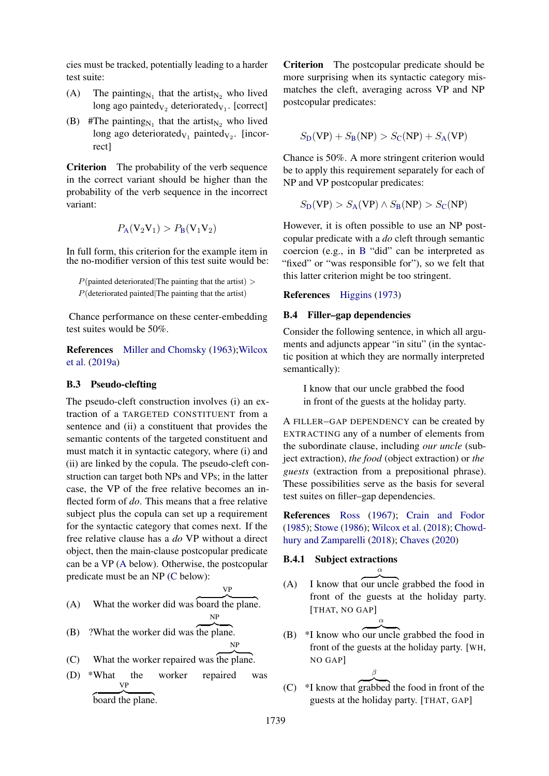cies must be tracked, potentially leading to a harder test suite:

- (A) The painting<sub>N<sub>1</sub></sub> that the artist<sub>N<sub>2</sub></sub> who lived long ago painted<sub>V<sub>2</sub></sub> deteriorated<sub>V<sub>1</sub></sub>. [correct]
- (B) #The painting<sub>N<sub>1</sub></sub> that the artist<sub>N<sub>2</sub></sub> who lived long ago deteriorated<sub>V<sub>1</sub></sub> painted<sub>V<sub>2</sub>. [incor-</sub> rect]

Criterion The probability of the verb sequence in the correct variant should be higher than the probability of the verb sequence in the incorrect variant:

$$
P_A(V_2V_1) > P_B(V_1V_2)
$$

In full form, this criterion for the example item in the no-modifier version of this test suite would be:

 $P$ (painted deteriorated|The painting that the artist) >  $P$ (deteriorated painted|The painting that the artist)

Chance performance on these center-embedding test suites would be 50%.

References [Miller and Chomsky](#page-10-15) [\(1963\)](#page-10-15)[;Wilcox](#page-11-9) [et al.](#page-11-9) [\(2019a\)](#page-11-9)

### B.3 Pseudo-clefting

The pseudo-cleft construction involves (i) an extraction of a TARGETED CONSTITUENT from a sentence and (ii) a constituent that provides the semantic contents of the targeted constituent and must match it in syntactic category, where (i) and (ii) are linked by the copula. The pseudo-cleft construction can target both NPs and VPs; in the latter case, the VP of the free relative becomes an inflected form of *do*. This means that a free relative subject plus the copula can set up a requirement for the syntactic category that comes next. If the free relative clause has a *do* VP without a direct object, then the main-clause postcopular predicate can be a VP [\(A](#page-1-1) below). Otherwise, the postcopular predicate must be an NP [\(C](#page-2-1) below):

$$
\mathsf{V}\mathsf{P}
$$

NP

(A) What the worker did was z }| { board the plane.

- $(B)$  ?What the worker did was the plane. NP
- $(C)$  What the worker repaired was the plane.
- (D) \*What the worker repaired was VP board the plane.

Criterion The postcopular predicate should be more surprising when its syntactic category mismatches the cleft, averaging across VP and NP postcopular predicates:

$$
S_{\rm D}(\text{VP}) + S_{\rm B}(\text{NP}) > S_{\rm C}(\text{NP}) + S_{\rm A}(\text{VP})
$$

Chance is 50%. A more stringent criterion would be to apply this requirement separately for each of NP and VP postcopular predicates:

$$
S_{\rm D}(\rm VP) > S_{\rm A}(\rm VP) \wedge S_{\rm B}(\rm NP) > S_{\rm C}(\rm NP)
$$

However, it is often possible to use an NP postcopular predicate with a *do* cleft through semantic coercion (e.g., in [B](#page-1-2) "did" can be interpreted as "fixed" or "was responsible for"), so we felt that this latter criterion might be too stringent.

### References [Higgins](#page-10-16) [\(1973\)](#page-10-16)

#### B.4 Filler–gap dependencies

Consider the following sentence, in which all arguments and adjuncts appear "in situ" (in the syntactic position at which they are normally interpreted semantically):

I know that our uncle grabbed the food in front of the guests at the holiday party.

A FILLER–GAP DEPENDENCY can be created by EXTRACTING any of a number of elements from the subordinate clause, including *our uncle* (subject extraction), *the food* (object extraction) or *the guests* (extraction from a prepositional phrase). These possibilities serve as the basis for several test suites on filler–gap dependencies.

References [Ross](#page-10-17) [\(1967\)](#page-10-17); [Crain and Fodor](#page-9-17) [\(1985\)](#page-9-17); [Stowe](#page-11-16) [\(1986\)](#page-11-16); [Wilcox et al.](#page-11-10) [\(2018\)](#page-11-10); [Chowd](#page-9-18)[hury and Zamparelli](#page-9-18) [\(2018\)](#page-9-18); [Chaves](#page-9-19) [\(2020\)](#page-9-19)

# B.4.1 Subject extractions

 $(A)$  I know that our uncle grabbed the food in front of the guests at the holiday party. [THAT, NO GAP]

α

α

- $(B)$  \*I know who our uncle grabbed the food in front of the guests at the holiday party. [WH, NO GAP]
- $(C)$  \*I know that grabbed the food in front of the guests at the holiday party. [THAT, GAP]

β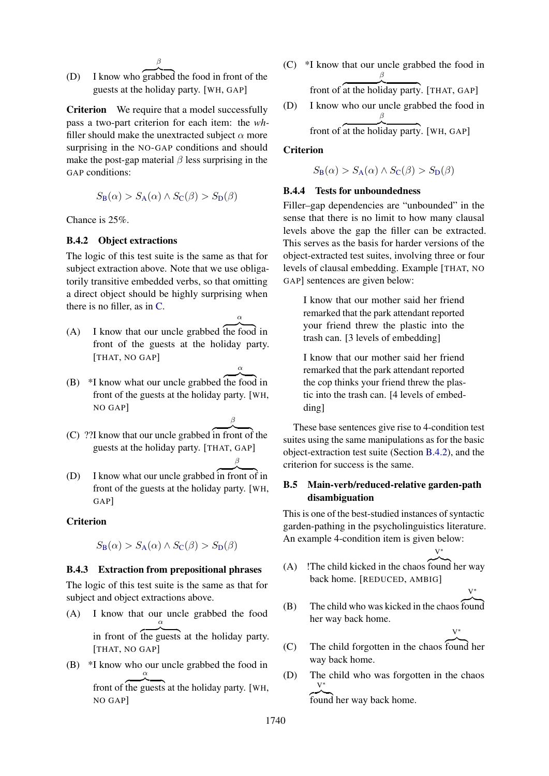- β
- (D) I know who grabbed the food in front of the guests at the holiday party. [WH, GAP]

Criterion We require that a model successfully pass a two-part criterion for each item: the *wh*filler should make the unextracted subject  $\alpha$  more surprising in the NO-GAP conditions and should make the post-gap material  $\beta$  less surprising in the GAP conditions:

$$
S_{\mathcal{B}}(\alpha) > S_{\mathcal{A}}(\alpha) \land S_{\mathcal{C}}(\beta) > S_{\mathcal{D}}(\beta)
$$

Chance is 25%.

# <span id="page-15-0"></span>B.4.2 Object extractions

The logic of this test suite is the same as that for subject extraction above. Note that we use obligatorily transitive embedded verbs, so that omitting a direct object should be highly surprising when there is no filler, as in [C.](#page-2-1)

- $(A)$  I know that our uncle grabbed the food in front of the guests at the holiday party. [THAT, NO GAP]
	- α

β

α

- $(B)$  \*I know what our uncle grabbed the food in front of the guests at the holiday party. [WH, NO GAP]
- $(C)$  ??I know that our uncle grabbed in front of the guests at the holiday party. [THAT, GAP] β
- (D) I know what our uncle grabbed in front of in front of the guests at the holiday party. [WH, GAP]

# **Criterion**

$$
S_{\mathbf{B}}(\alpha) > S_{\mathbf{A}}(\alpha) \land S_{\mathbf{C}}(\beta) > S_{\mathbf{D}}(\beta)
$$

### B.4.3 Extraction from prepositional phrases

The logic of this test suite is the same as that for subject and object extractions above.

(A) I know that our uncle grabbed the food α

in front of the guests at the holiday party. [THAT, NO GAP]

(B) \*I know who our uncle grabbed the food in front of the guests at the holiday party. [WH, α NO GAP]

(C) \*I know that our uncle grabbed the food in β

front of at the holiday party. [THAT, GAP]

(D) I know who our uncle grabbed the food in β

front of at the holiday party. [WH, GAP]

# **Criterion**

 $S_B(\alpha) > S_A(\alpha) \wedge S_C(\beta) > S_D(\beta)$  $S_B(\alpha) > S_A(\alpha) \wedge S_C(\beta) > S_D(\beta)$  $S_B(\alpha) > S_A(\alpha) \wedge S_C(\beta) > S_D(\beta)$  $S_B(\alpha) > S_A(\alpha) \wedge S_C(\beta) > S_D(\beta)$  $S_B(\alpha) > S_A(\alpha) \wedge S_C(\beta) > S_D(\beta)$  $S_B(\alpha) > S_A(\alpha) \wedge S_C(\beta) > S_D(\beta)$  $S_B(\alpha) > S_A(\alpha) \wedge S_C(\beta) > S_D(\beta)$  $S_B(\alpha) > S_A(\alpha) \wedge S_C(\beta) > S_D(\beta)$  $S_B(\alpha) > S_A(\alpha) \wedge S_C(\beta) > S_D(\beta)$ 

# B.4.4 Tests for unboundedness

Filler–gap dependencies are "unbounded" in the sense that there is no limit to how many clausal levels above the gap the filler can be extracted. This serves as the basis for harder versions of the object-extracted test suites, involving three or four levels of clausal embedding. Example [THAT, NO GAP] sentences are given below:

> I know that our mother said her friend remarked that the park attendant reported your friend threw the plastic into the trash can. [3 levels of embedding]

> I know that our mother said her friend remarked that the park attendant reported the cop thinks your friend threw the plastic into the trash can. [4 levels of embedding]

These base sentences give rise to 4-condition test suites using the same manipulations as for the basic object-extraction test suite (Section [B.4.2\)](#page-15-0), and the criterion for success is the same.

# B.5 Main-verb/reduced-relative garden-path disambiguation

This is one of the best-studied instances of syntactic garden-pathing in the psycholinguistics literature. An example 4-condition item is given below:

(A) ! The child kicked in the chaos found her way back home. [REDUCED, AMBIG]

V<sup>∗</sup>

V<sup>∗</sup>

V<sup>∗</sup>

 $(B)$  The child who was kicked in the chaos found her way back home.

(C) The child forgotten in the chaos z }| { found her way back home.

(D) The child who was forgotten in the chaos V<sup>∗</sup> found her way back home.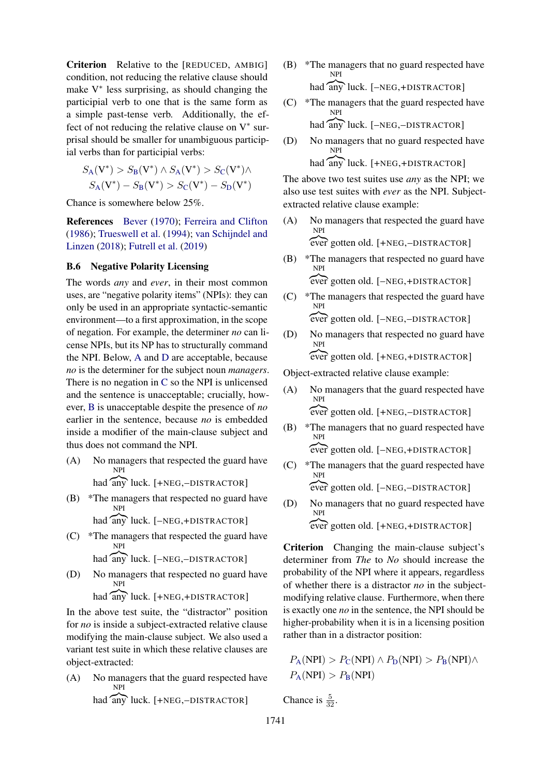Criterion Relative to the [REDUCED, AMBIG] condition, not reducing the relative clause should make V ∗ less surprising, as should changing the participial verb to one that is the same form as a simple past-tense verb. Additionally, the effect of not reducing the relative clause on  $V^*$  surprisal should be smaller for unambiguous participial verbs than for participial verbs:

$$
S_{A}(V^*) > S_{B}(V^*) \wedge S_{A}(V^*) > S_{C}(V^*) \wedge S_{A}(V^*) - S_{B}(V^*) > S_{C}(V^*) - S_{D}(V^*)
$$

Chance is somewhere below 25%.

References [Bever](#page-8-2) [\(1970\)](#page-8-2); [Ferreira and Clifton](#page-9-7) [\(1986\)](#page-9-7); [Trueswell et al.](#page-11-4) [\(1994\)](#page-11-4); [van Schijndel and](#page-10-18) [Linzen](#page-10-18) [\(2018\)](#page-10-18); [Futrell et al.](#page-9-6) [\(2019\)](#page-9-6)

# <span id="page-16-0"></span>B.6 Negative Polarity Licensing

The words *any* and *ever*, in their most common uses, are "negative polarity items" (NPIs): they can only be used in an appropriate syntactic-semantic environment—to a first approximation, in the scope of negation. For example, the determiner *no* can license NPIs, but its NP has to structurally command the NPI. Below, [A](#page-1-1) and [D](#page-2-2) are acceptable, because *no* is the determiner for the subject noun *managers*. There is no negation in [C](#page-2-1) so the NPI is unlicensed and the sentence is unacceptable; crucially, however, [B](#page-1-2) is unacceptable despite the presence of *no* earlier in the sentence, because *no* is embedded inside a modifier of the main-clause subject and thus does not command the NPI.

(A) No managers that respected the guard have NPI

had any luck. [+NEG,-DISTRACTOR]

- (B) \*The managers that respected no guard have NPI
	- had any luck. [-NEG,+DISTRACTOR]
- (C) \*The managers that respected the guard have had any luck. [-NEG,-DISTRACTOR] NPI
- (D) No managers that respected no guard have NPI

had any luck. [+NEG,+DISTRACTOR]

In the above test suite, the "distractor" position for *no* is inside a subject-extracted relative clause modifying the main-clause subject. We also used a variant test suite in which these relative clauses are object-extracted:

(A) No managers that the guard respected have had any luck. [+NEG,-DISTRACTOR] NPI

- (B) \*The managers that no guard respected have had any luck. [-NEG,+DISTRACTOR] NPI
- (C) \*The managers that the guard respected have had any luck. [-NEG,-DISTRACTOR] NPI
- (D) No managers that no guard respected have NPI

had any luck. [+NEG,+DISTRACTOR]

The above two test suites use *any* as the NPI; we also use test suites with *ever* as the NPI. Subjectextracted relative clause example:

- (A) No managers that respected the guard have NPI ever gotten old. [+NEG,-DISTRACTOR]
- (B) \*The managers that respected no guard have NPI z}|{ ever gotten old. [–NEG,+DISTRACTOR]
- (C) \*The managers that respected the guard have NPI z}|{ ever gotten old. [–NEG,–DISTRACTOR]
- (D) No managers that respected no guard have NPI z}|{ ever gotten old. [+NEG,+DISTRACTOR]

Object-extracted relative clause example:

- (A) No managers that the guard respected have NPI z}|{ ever gotten old. [+NEG,–DISTRACTOR]
- (B) \*The managers that no guard respected have NPI z}|{ ever gotten old. [–NEG,+DISTRACTOR]
- (C) \*The managers that the guard respected have NPI z}|{ ever gotten old. [–NEG,–DISTRACTOR]
- (D) No managers that no guard respected have NPI ever gotten old. [+NEG,+DISTRACTOR]

Criterion Changing the main-clause subject's determiner from *The* to *No* should increase the probability of the NPI where it appears, regardless of whether there is a distractor *no* in the subjectmodifying relative clause. Furthermore, when there is exactly one *no* in the sentence, the NPI should be higher-probability when it is in a licensing position rather than in a distractor position:

 $P_{\rm A}(\rm NPI) > P_{\rm C}(\rm NPI) \wedge P_{\rm D}(\rm NPI) > P_{\rm B}(\rm NPI) \wedge$  $P_{\rm A}(\rm NPI) > P_{\rm C}(\rm NPI) \wedge P_{\rm D}(\rm NPI) > P_{\rm B}(\rm NPI) \wedge$  $P_{\rm A}(\rm NPI) > P_{\rm C}(\rm NPI) \wedge P_{\rm D}(\rm NPI) > P_{\rm B}(\rm NPI) \wedge$  $P_{\rm A}(\rm NPI) > P_{\rm C}(\rm NPI) \wedge P_{\rm D}(\rm NPI) > P_{\rm B}(\rm NPI) \wedge$  $P_{\rm A}(\rm NPI) > P_{\rm C}(\rm NPI) \wedge P_{\rm D}(\rm NPI) > P_{\rm B}(\rm NPI) \wedge$  $P_{\rm A}(\rm NPI) > P_{\rm C}(\rm NPI) \wedge P_{\rm D}(\rm NPI) > P_{\rm B}(\rm NPI) \wedge$  $P_{\rm A}(\rm NPI) > P_{\rm C}(\rm NPI) \wedge P_{\rm D}(\rm NPI) > P_{\rm B}(\rm NPI) \wedge$  $P_{\rm A}(\rm NPI) > P_{\rm C}(\rm NPI) \wedge P_{\rm D}(\rm NPI) > P_{\rm B}(\rm NPI) \wedge$  $P_{\rm A}(\rm NPI) > P_{\rm C}(\rm NPI) \wedge P_{\rm D}(\rm NPI) > P_{\rm B}(\rm NPI) \wedge$  $P_{\rm A}({\rm NPI}) > P_{\rm B}({\rm NPI})$  $P_{\rm A}({\rm NPI}) > P_{\rm B}({\rm NPI})$  $P_{\rm A}({\rm NPI}) > P_{\rm B}({\rm NPI})$  $P_{\rm A}({\rm NPI}) > P_{\rm B}({\rm NPI})$  $P_{\rm A}({\rm NPI}) > P_{\rm B}({\rm NPI})$ 

Chance is  $\frac{5}{32}$ .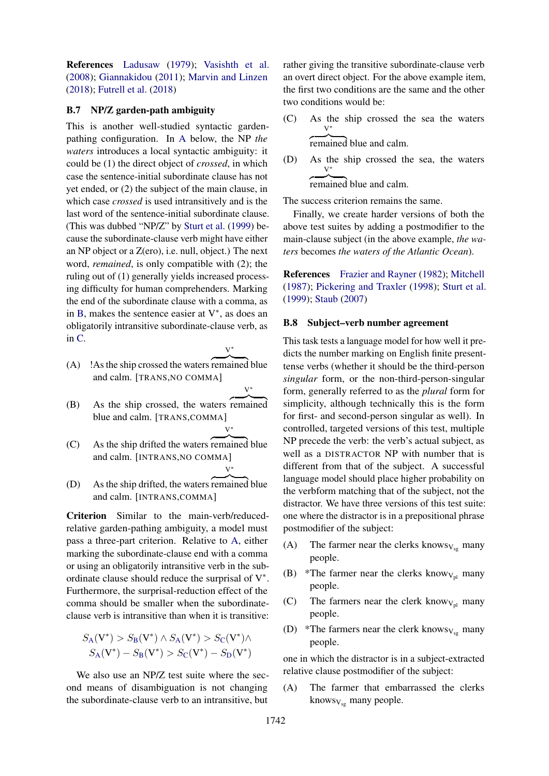References [Ladusaw](#page-10-19) [\(1979\)](#page-10-19); [Vasishth et al.](#page-11-17) [\(2008\)](#page-11-17); [Giannakidou](#page-9-20) [\(2011\)](#page-9-20); [Marvin and Linzen](#page-10-1) [\(2018\)](#page-10-1); [Futrell et al.](#page-9-0) [\(2018\)](#page-9-0)

#### B.7 NP/Z garden-path ambiguity

This is another well-studied syntactic gardenpathing configuration. In [A](#page-1-1) below, the NP *the waters* introduces a local syntactic ambiguity: it could be (1) the direct object of *crossed*, in which case the sentence-initial subordinate clause has not yet ended, or (2) the subject of the main clause, in which case *crossed* is used intransitively and is the last word of the sentence-initial subordinate clause. (This was dubbed "NP/Z" by [Sturt et al.](#page-11-18) [\(1999\)](#page-11-18) because the subordinate-clause verb might have either an NP object or a Z(ero), i.e. null, object.) The next word, *remained*, is only compatible with (2); the ruling out of (1) generally yields increased processing difficulty for human comprehenders. Marking the end of the subordinate clause with a comma, as in [B,](#page-1-2) makes the sentence easier at  $V^*$ , as does an obligatorily intransitive subordinate-clause verb, as in [C.](#page-2-1) V<sup>∗</sup>

V<sup>∗</sup>

V<sup>∗</sup>

- $(A)$  ! As the ship crossed the waters remained blue and calm. [TRANS,NO COMMA]
- (B) As the ship crossed, the waters remained blue and calm. [TRANS,COMMA] V<sup>∗</sup>
- $(C)$  As the ship drifted the waters remained blue and calm. [INTRANS,NO COMMA]
- (D) As the ship drifted, the waters remained blue and calm. [INTRANS,COMMA]

Criterion Similar to the main-verb/reducedrelative garden-pathing ambiguity, a model must pass a three-part criterion. Relative to [A,](#page-1-1) either marking the subordinate-clause end with a comma or using an obligatorily intransitive verb in the subordinate clause should reduce the surprisal of  $V^*$ . Furthermore, the surprisal-reduction effect of the comma should be smaller when the subordinateclause verb is intransitive than when it is transitive:

$$
S_{A}(V^*) > S_{B}(V^*) \wedge S_{A}(V^*) > S_{C}(V^*) \wedge S_{A}(V^*) - S_{B}(V^*) > S_{C}(V^*) - S_{D}(V^*)
$$

We also use an NP/Z test suite where the second means of disambiguation is not changing the subordinate-clause verb to an intransitive, but rather giving the transitive subordinate-clause verb an overt direct object. For the above example item, the first two conditions are the same and the other two conditions would be:

(C) As the ship crossed the sea the waters V<sup>∗</sup>

remained blue and calm.

(D) As the ship crossed the sea, the waters V<sup>∗</sup> remained blue and calm.

The success criterion remains the same.

Finally, we create harder versions of both the above test suites by adding a postmodifier to the main-clause subject (in the above example, *the waters* becomes *the waters of the Atlantic Ocean*).

References [Frazier and Rayner](#page-9-21) [\(1982\)](#page-9-21); [Mitchell](#page-10-20) [\(1987\)](#page-10-20); [Pickering and Traxler](#page-10-21) [\(1998\)](#page-10-21); [Sturt et al.](#page-11-18) [\(1999\)](#page-11-18); [Staub](#page-11-19) [\(2007\)](#page-11-19)

#### B.8 Subject–verb number agreement

This task tests a language model for how well it predicts the number marking on English finite presenttense verbs (whether it should be the third-person *singular* form, or the non-third-person-singular form, generally referred to as the *plural* form for simplicity, although technically this is the form for first- and second-person singular as well). In controlled, targeted versions of this test, multiple NP precede the verb: the verb's actual subject, as well as a DISTRACTOR NP with number that is different from that of the subject. A successful language model should place higher probability on the verbform matching that of the subject, not the distractor. We have three versions of this test suite: one where the distractor is in a prepositional phrase postmodifier of the subject:

- (A) The farmer near the clerks knows $v_{sg}$  many people.
- (B) \*The farmer near the clerks know<sub>V<sub>pl</sub></sub> many people.
- (C) The farmers near the clerk know $v_{p}$  many people.
- (D) \*The farmers near the clerk knows $v_{sg}$  many people.

one in which the distractor is in a subject-extracted relative clause postmodifier of the subject:

(A) The farmer that embarrassed the clerks knows $v_{sg}$  many people.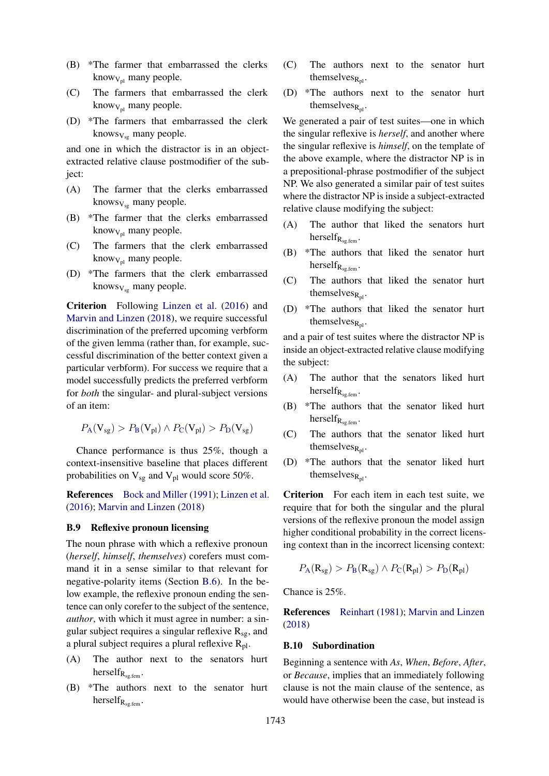- (B) \*The farmer that embarrassed the clerks know $V_{\text{rel}}$  many people.
- (C) The farmers that embarrassed the clerk know $_{V_{\text{pl}}}$  many people.
- (D) \*The farmers that embarrassed the clerk knows $v_{\rm sc}$  many people.

and one in which the distractor is in an objectextracted relative clause postmodifier of the subject:

- (A) The farmer that the clerks embarrassed knows $v_{\rm ss}$  many people.
- (B) \*The farmer that the clerks embarrassed know $v_{\text{pl}}$  many people.
- (C) The farmers that the clerk embarrassed know $v_{\rm pl}$  many people.
- (D) \*The farmers that the clerk embarrassed knows $v_{\rm ss}$  many people.

Criterion Following [Linzen et al.](#page-10-0) [\(2016\)](#page-10-0) and [Marvin and Linzen](#page-10-1) [\(2018\)](#page-10-1), we require successful discrimination of the preferred upcoming verbform of the given lemma (rather than, for example, successful discrimination of the better context given a particular verbform). For success we require that a model successfully predicts the preferred verbform for *both* the singular- and plural-subject versions of an item:

$$
P_{\rm A}(V_{sg}) > P_{\rm B}(V_{\rm pl}) \wedge P_{\rm C}(V_{\rm pl}) > P_{\rm D}(V_{\rm sg})
$$

Chance performance is thus 25%, though a context-insensitive baseline that places different probabilities on  $V_{sg}$  and  $V_{pl}$  would score 50%.

References [Bock and Miller](#page-9-22) [\(1991\)](#page-9-22); [Linzen et al.](#page-10-0) [\(2016\)](#page-10-0); [Marvin and Linzen](#page-10-1) [\(2018\)](#page-10-1)

#### B.9 Reflexive pronoun licensing

The noun phrase with which a reflexive pronoun (*herself*, *himself*, *themselves*) corefers must command it in a sense similar to that relevant for negative-polarity items (Section [B.6\)](#page-16-0). In the below example, the reflexive pronoun ending the sentence can only corefer to the subject of the sentence, *author*, with which it must agree in number: a singular subject requires a singular reflexive  $R_{sg}$ , and a plural subject requires a plural reflexive  $R_{\text{pl}}$ .

- (A) The author next to the senators hurt herself $R_{\text{sc,ferm}}$ .
- (B) \*The authors next to the senator hurt herself $R_{sg.$ fem .
- (C) The authors next to the senator hurt themselves $_{R_{nl}}$ .
- (D) \*The authors next to the senator hurt themselves $_{R_{nl}}$ .

We generated a pair of test suites—one in which the singular reflexive is *herself*, and another where the singular reflexive is *himself*, on the template of the above example, where the distractor NP is in a prepositional-phrase postmodifier of the subject NP. We also generated a similar pair of test suites where the distractor NP is inside a subject-extracted relative clause modifying the subject:

- (A) The author that liked the senators hurt herself $_{R_{\text{se.ferm}}}$ .
- (B) \*The authors that liked the senator hurt herself $R_{\text{sg.ferm}}$ .
- (C) The authors that liked the senator hurt themselves $_{R_{nl}}$ .
- (D) \*The authors that liked the senator hurt themselves $_{R_{pl}}$ .

and a pair of test suites where the distractor NP is inside an object-extracted relative clause modifying the subject:

- (A) The author that the senators liked hurt herself $R_{sg.$ fem .
- (B) \*The authors that the senator liked hurt herself $_{\rm R_{\rm{eq,form}}}$ .
- (C) The authors that the senator liked hurt themselves $_{R_{pl}}$ .
- (D) \*The authors that the senator liked hurt themselves $_{R_n}$ .

Criterion For each item in each test suite, we require that for both the singular and the plural versions of the reflexive pronoun the model assign higher conditional probability in the correct licensing context than in the incorrect licensing context:

$$
P_{\rm A}(R_{sg}) > P_{\rm B}(R_{sg}) \wedge P_{\rm C}(R_{\rm pl}) > P_{\rm D}(R_{\rm pl})
$$

Chance is 25%.

References [Reinhart](#page-10-22) [\(1981\)](#page-10-22); [Marvin and Linzen](#page-10-1) [\(2018\)](#page-10-1)

#### B.10 Subordination

Beginning a sentence with *As*, *When*, *Before*, *After*, or *Because*, implies that an immediately following clause is not the main clause of the sentence, as would have otherwise been the case, but instead is